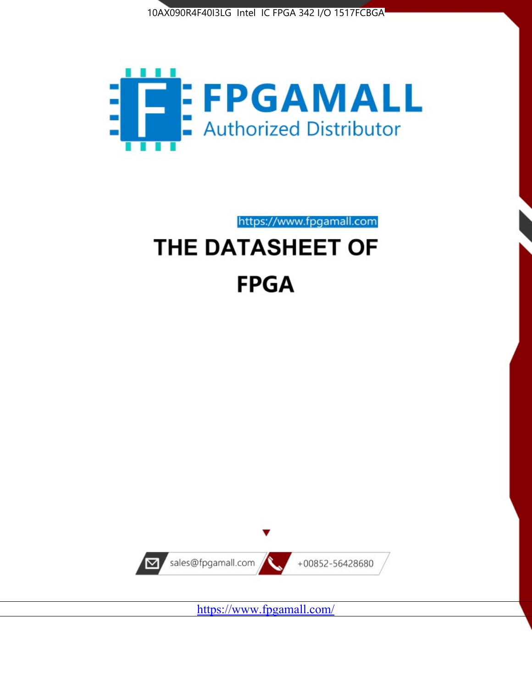



https://www.fpgamall.com

# THE DATASHEET OF **FPGA**



<https://www.fpgamall.com/>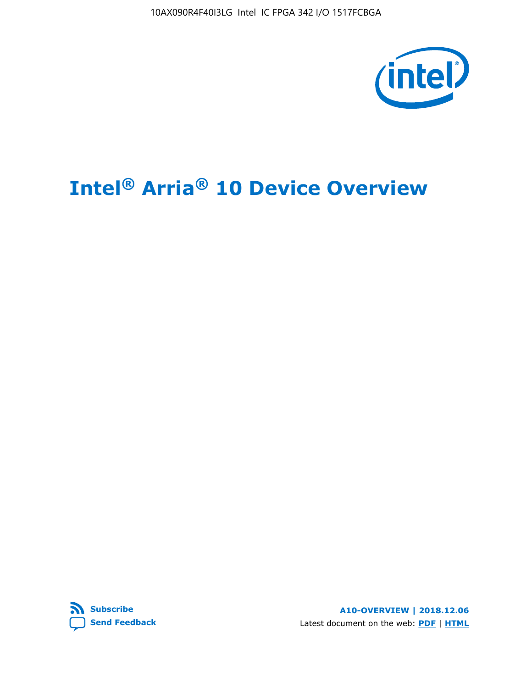

# **Intel® Arria® 10 Device Overview**



**A10-OVERVIEW | 2018.12.06** Latest document on the web: **[PDF](https://www.intel.com/content/dam/www/programmable/us/en/pdfs/literature/hb/arria-10/a10_overview.pdf)** | **[HTML](https://www.intel.com/content/www/us/en/programmable/documentation/sam1403480274650.html)**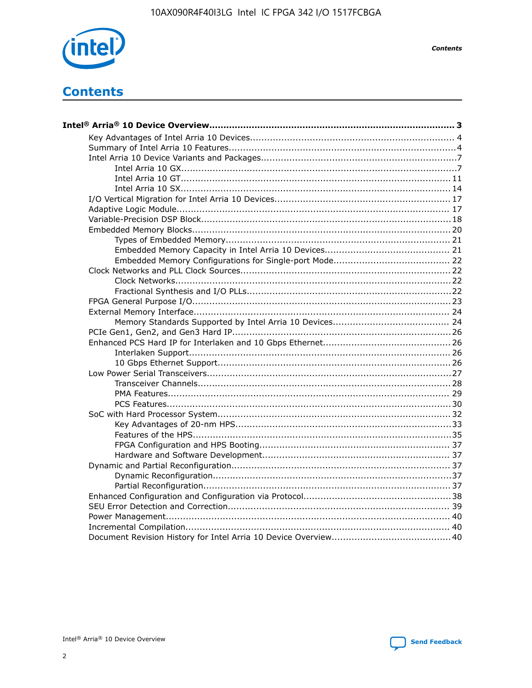

**Contents** 

# **Contents**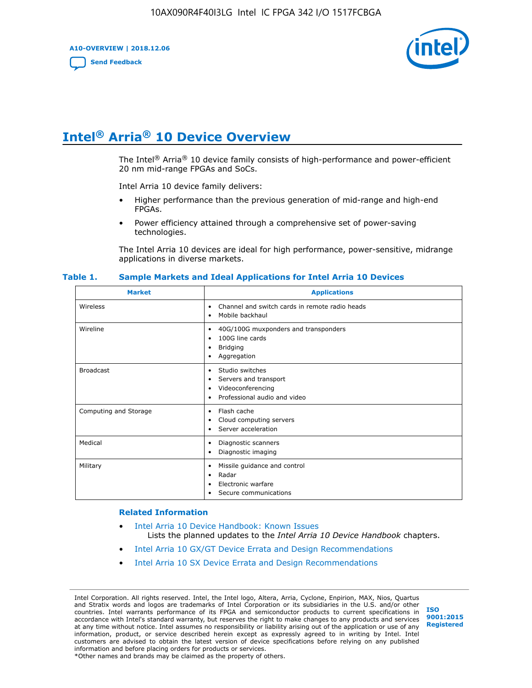**A10-OVERVIEW | 2018.12.06**

**[Send Feedback](mailto:FPGAtechdocfeedback@intel.com?subject=Feedback%20on%20Intel%20Arria%2010%20Device%20Overview%20(A10-OVERVIEW%202018.12.06)&body=We%20appreciate%20your%20feedback.%20In%20your%20comments,%20also%20specify%20the%20page%20number%20or%20paragraph.%20Thank%20you.)**



# **Intel® Arria® 10 Device Overview**

The Intel<sup>®</sup> Arria<sup>®</sup> 10 device family consists of high-performance and power-efficient 20 nm mid-range FPGAs and SoCs.

Intel Arria 10 device family delivers:

- Higher performance than the previous generation of mid-range and high-end FPGAs.
- Power efficiency attained through a comprehensive set of power-saving technologies.

The Intel Arria 10 devices are ideal for high performance, power-sensitive, midrange applications in diverse markets.

| <b>Market</b>         | <b>Applications</b>                                                                                               |
|-----------------------|-------------------------------------------------------------------------------------------------------------------|
| Wireless              | Channel and switch cards in remote radio heads<br>٠<br>Mobile backhaul<br>٠                                       |
| Wireline              | 40G/100G muxponders and transponders<br>٠<br>100G line cards<br>٠<br>Bridging<br>٠<br>Aggregation<br>٠            |
| <b>Broadcast</b>      | Studio switches<br>٠<br>Servers and transport<br>٠<br>Videoconferencing<br>٠<br>Professional audio and video<br>٠ |
| Computing and Storage | Flash cache<br>٠<br>Cloud computing servers<br>٠<br>Server acceleration<br>$\bullet$                              |
| Medical               | Diagnostic scanners<br>٠<br>Diagnostic imaging<br>٠                                                               |
| Military              | Missile guidance and control<br>٠<br>Radar<br>٠<br>Electronic warfare<br>٠<br>Secure communications<br>٠          |

#### **Table 1. Sample Markets and Ideal Applications for Intel Arria 10 Devices**

#### **Related Information**

- [Intel Arria 10 Device Handbook: Known Issues](http://www.altera.com/support/kdb/solutions/rd07302013_646.html) Lists the planned updates to the *Intel Arria 10 Device Handbook* chapters.
- [Intel Arria 10 GX/GT Device Errata and Design Recommendations](https://www.intel.com/content/www/us/en/programmable/documentation/agz1493851706374.html#yqz1494433888646)
- [Intel Arria 10 SX Device Errata and Design Recommendations](https://www.intel.com/content/www/us/en/programmable/documentation/cru1462832385668.html#cru1462832558642)

Intel Corporation. All rights reserved. Intel, the Intel logo, Altera, Arria, Cyclone, Enpirion, MAX, Nios, Quartus and Stratix words and logos are trademarks of Intel Corporation or its subsidiaries in the U.S. and/or other countries. Intel warrants performance of its FPGA and semiconductor products to current specifications in accordance with Intel's standard warranty, but reserves the right to make changes to any products and services at any time without notice. Intel assumes no responsibility or liability arising out of the application or use of any information, product, or service described herein except as expressly agreed to in writing by Intel. Intel customers are advised to obtain the latest version of device specifications before relying on any published information and before placing orders for products or services. \*Other names and brands may be claimed as the property of others.

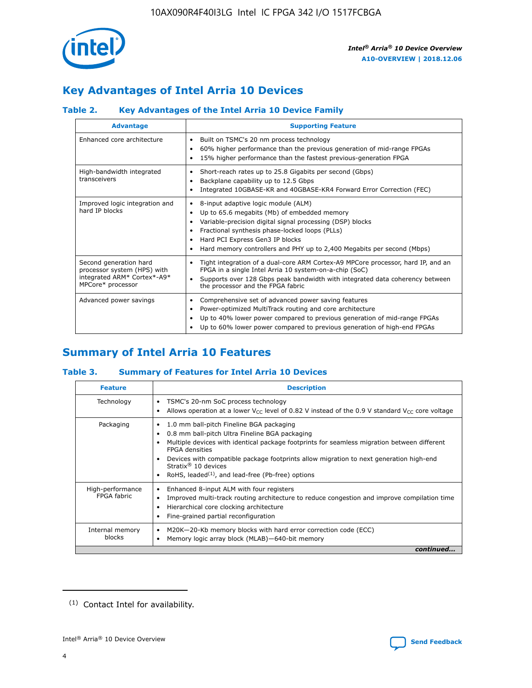

# **Key Advantages of Intel Arria 10 Devices**

# **Table 2. Key Advantages of the Intel Arria 10 Device Family**

| <b>Advantage</b>                                                                                          | <b>Supporting Feature</b>                                                                                                                                                                                                                                                                                                |  |  |  |  |  |
|-----------------------------------------------------------------------------------------------------------|--------------------------------------------------------------------------------------------------------------------------------------------------------------------------------------------------------------------------------------------------------------------------------------------------------------------------|--|--|--|--|--|
| Enhanced core architecture                                                                                | Built on TSMC's 20 nm process technology<br>٠<br>60% higher performance than the previous generation of mid-range FPGAs<br>٠<br>15% higher performance than the fastest previous-generation FPGA<br>٠                                                                                                                    |  |  |  |  |  |
| High-bandwidth integrated<br>transceivers                                                                 | Short-reach rates up to 25.8 Gigabits per second (Gbps)<br>٠<br>Backplane capability up to 12.5 Gbps<br>٠<br>Integrated 10GBASE-KR and 40GBASE-KR4 Forward Error Correction (FEC)<br>٠                                                                                                                                   |  |  |  |  |  |
| Improved logic integration and<br>hard IP blocks                                                          | 8-input adaptive logic module (ALM)<br>٠<br>Up to 65.6 megabits (Mb) of embedded memory<br>٠<br>Variable-precision digital signal processing (DSP) blocks<br>Fractional synthesis phase-locked loops (PLLs)<br>Hard PCI Express Gen3 IP blocks<br>Hard memory controllers and PHY up to 2,400 Megabits per second (Mbps) |  |  |  |  |  |
| Second generation hard<br>processor system (HPS) with<br>integrated ARM* Cortex*-A9*<br>MPCore* processor | Tight integration of a dual-core ARM Cortex-A9 MPCore processor, hard IP, and an<br>٠<br>FPGA in a single Intel Arria 10 system-on-a-chip (SoC)<br>Supports over 128 Gbps peak bandwidth with integrated data coherency between<br>$\bullet$<br>the processor and the FPGA fabric                                        |  |  |  |  |  |
| Advanced power savings                                                                                    | Comprehensive set of advanced power saving features<br>٠<br>Power-optimized MultiTrack routing and core architecture<br>٠<br>Up to 40% lower power compared to previous generation of mid-range FPGAs<br>٠<br>Up to 60% lower power compared to previous generation of high-end FPGAs                                    |  |  |  |  |  |

# **Summary of Intel Arria 10 Features**

## **Table 3. Summary of Features for Intel Arria 10 Devices**

| <b>Feature</b>                  | <b>Description</b>                                                                                                                                                                                                                                                                                                                                                                                 |
|---------------------------------|----------------------------------------------------------------------------------------------------------------------------------------------------------------------------------------------------------------------------------------------------------------------------------------------------------------------------------------------------------------------------------------------------|
| Technology                      | TSMC's 20-nm SoC process technology<br>Allows operation at a lower $V_{\text{CC}}$ level of 0.82 V instead of the 0.9 V standard $V_{\text{CC}}$ core voltage                                                                                                                                                                                                                                      |
| Packaging                       | 1.0 mm ball-pitch Fineline BGA packaging<br>٠<br>0.8 mm ball-pitch Ultra Fineline BGA packaging<br>Multiple devices with identical package footprints for seamless migration between different<br><b>FPGA</b> densities<br>Devices with compatible package footprints allow migration to next generation high-end<br>Stratix $@10$ devices<br>RoHS, leaded $(1)$ , and lead-free (Pb-free) options |
| High-performance<br>FPGA fabric | Enhanced 8-input ALM with four registers<br>Improved multi-track routing architecture to reduce congestion and improve compilation time<br>Hierarchical core clocking architecture<br>Fine-grained partial reconfiguration                                                                                                                                                                         |
| Internal memory<br>blocks       | M20K-20-Kb memory blocks with hard error correction code (ECC)<br>Memory logic array block (MLAB)-640-bit memory                                                                                                                                                                                                                                                                                   |
|                                 | continued                                                                                                                                                                                                                                                                                                                                                                                          |



<sup>(1)</sup> Contact Intel for availability.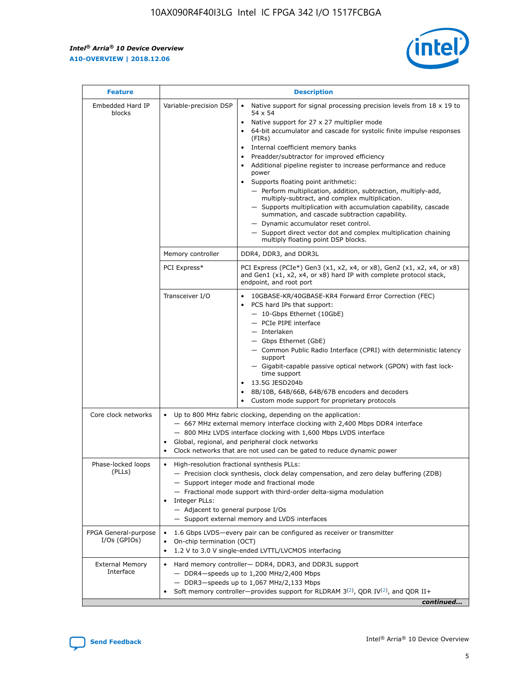r



| <b>Feature</b>                         |                                                                                                                                                                                                                                                                                                                                   | <b>Description</b>                                                                                                                                                                                                                                                                                                                                                                                                                                                                                                                                                                                                                                                                                                                                                                                                                                               |  |  |  |  |  |
|----------------------------------------|-----------------------------------------------------------------------------------------------------------------------------------------------------------------------------------------------------------------------------------------------------------------------------------------------------------------------------------|------------------------------------------------------------------------------------------------------------------------------------------------------------------------------------------------------------------------------------------------------------------------------------------------------------------------------------------------------------------------------------------------------------------------------------------------------------------------------------------------------------------------------------------------------------------------------------------------------------------------------------------------------------------------------------------------------------------------------------------------------------------------------------------------------------------------------------------------------------------|--|--|--|--|--|
| Embedded Hard IP<br>blocks             | Variable-precision DSP                                                                                                                                                                                                                                                                                                            | Native support for signal processing precision levels from $18 \times 19$ to<br>$\bullet$<br>54 x 54<br>Native support for 27 x 27 multiplier mode<br>$\bullet$<br>64-bit accumulator and cascade for systolic finite impulse responses<br>(FIRs)<br>Internal coefficient memory banks<br>$\bullet$<br>Preadder/subtractor for improved efficiency<br>Additional pipeline register to increase performance and reduce<br>power<br>Supports floating point arithmetic:<br>- Perform multiplication, addition, subtraction, multiply-add,<br>multiply-subtract, and complex multiplication.<br>- Supports multiplication with accumulation capability, cascade<br>summation, and cascade subtraction capability.<br>- Dynamic accumulator reset control.<br>- Support direct vector dot and complex multiplication chaining<br>multiply floating point DSP blocks. |  |  |  |  |  |
|                                        | Memory controller                                                                                                                                                                                                                                                                                                                 | DDR4, DDR3, and DDR3L                                                                                                                                                                                                                                                                                                                                                                                                                                                                                                                                                                                                                                                                                                                                                                                                                                            |  |  |  |  |  |
|                                        | PCI Express*                                                                                                                                                                                                                                                                                                                      | PCI Express (PCIe*) Gen3 (x1, x2, x4, or x8), Gen2 (x1, x2, x4, or x8)<br>and Gen1 (x1, x2, x4, or x8) hard IP with complete protocol stack,<br>endpoint, and root port                                                                                                                                                                                                                                                                                                                                                                                                                                                                                                                                                                                                                                                                                          |  |  |  |  |  |
|                                        | Transceiver I/O                                                                                                                                                                                                                                                                                                                   | 10GBASE-KR/40GBASE-KR4 Forward Error Correction (FEC)<br>PCS hard IPs that support:<br>- 10-Gbps Ethernet (10GbE)<br>- PCIe PIPE interface<br>- Interlaken<br>- Gbps Ethernet (GbE)<br>- Common Public Radio Interface (CPRI) with deterministic latency<br>support<br>- Gigabit-capable passive optical network (GPON) with fast lock-<br>time support<br>13.5G JESD204b<br>$\bullet$<br>8B/10B, 64B/66B, 64B/67B encoders and decoders<br>Custom mode support for proprietary protocols                                                                                                                                                                                                                                                                                                                                                                        |  |  |  |  |  |
| Core clock networks                    | $\bullet$                                                                                                                                                                                                                                                                                                                         | Up to 800 MHz fabric clocking, depending on the application:<br>- 667 MHz external memory interface clocking with 2,400 Mbps DDR4 interface<br>- 800 MHz LVDS interface clocking with 1,600 Mbps LVDS interface<br>Global, regional, and peripheral clock networks<br>Clock networks that are not used can be gated to reduce dynamic power                                                                                                                                                                                                                                                                                                                                                                                                                                                                                                                      |  |  |  |  |  |
| Phase-locked loops<br>(PLLs)           | High-resolution fractional synthesis PLLs:<br>$\bullet$<br>Integer PLLs:<br>- Adjacent to general purpose I/Os                                                                                                                                                                                                                    | - Precision clock synthesis, clock delay compensation, and zero delay buffering (ZDB)<br>- Support integer mode and fractional mode<br>- Fractional mode support with third-order delta-sigma modulation<br>- Support external memory and LVDS interfaces                                                                                                                                                                                                                                                                                                                                                                                                                                                                                                                                                                                                        |  |  |  |  |  |
| FPGA General-purpose<br>$I/Os$ (GPIOs) | On-chip termination (OCT)<br>٠<br>$\bullet$                                                                                                                                                                                                                                                                                       | 1.6 Gbps LVDS-every pair can be configured as receiver or transmitter                                                                                                                                                                                                                                                                                                                                                                                                                                                                                                                                                                                                                                                                                                                                                                                            |  |  |  |  |  |
| <b>External Memory</b><br>Interface    | 1.2 V to 3.0 V single-ended LVTTL/LVCMOS interfacing<br>Hard memory controller- DDR4, DDR3, and DDR3L support<br>$\bullet$<br>$-$ DDR4-speeds up to 1,200 MHz/2,400 Mbps<br>- DDR3-speeds up to 1,067 MHz/2,133 Mbps<br>Soft memory controller—provides support for RLDRAM $3^{(2)}$ , QDR IV $^{(2)}$ , and QDR II+<br>continued |                                                                                                                                                                                                                                                                                                                                                                                                                                                                                                                                                                                                                                                                                                                                                                                                                                                                  |  |  |  |  |  |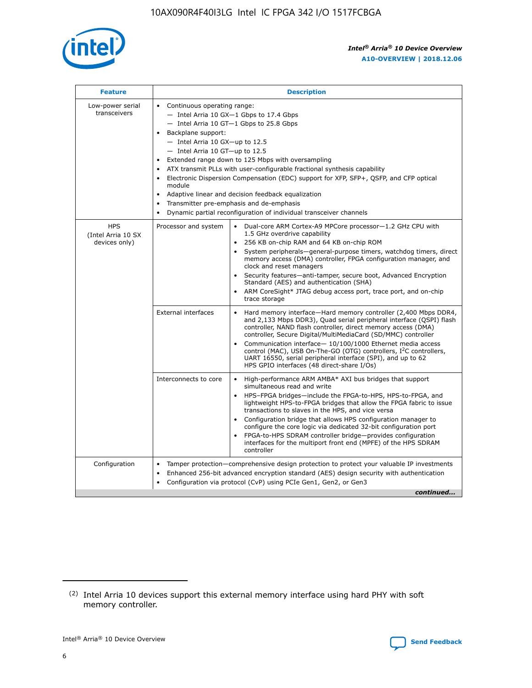

| <b>Feature</b>                                    | <b>Description</b>                                                                                                                                                                                                                                                                                                                                                                                                                                                                                                                                                                                                                                      |
|---------------------------------------------------|---------------------------------------------------------------------------------------------------------------------------------------------------------------------------------------------------------------------------------------------------------------------------------------------------------------------------------------------------------------------------------------------------------------------------------------------------------------------------------------------------------------------------------------------------------------------------------------------------------------------------------------------------------|
| Low-power serial<br>transceivers                  | • Continuous operating range:<br>- Intel Arria 10 GX-1 Gbps to 17.4 Gbps<br>- Intel Arria 10 GT-1 Gbps to 25.8 Gbps<br>Backplane support:<br>$-$ Intel Arria 10 GX-up to 12.5<br>- Intel Arria 10 GT-up to 12.5<br>Extended range down to 125 Mbps with oversampling<br>ATX transmit PLLs with user-configurable fractional synthesis capability<br>• Electronic Dispersion Compensation (EDC) support for XFP, SFP+, QSFP, and CFP optical<br>module<br>Adaptive linear and decision feedback equalization<br>$\bullet$<br>Transmitter pre-emphasis and de-emphasis<br>$\bullet$<br>Dynamic partial reconfiguration of individual transceiver channels |
| <b>HPS</b><br>(Intel Arria 10 SX<br>devices only) | Processor and system<br>Dual-core ARM Cortex-A9 MPCore processor-1.2 GHz CPU with<br>$\bullet$<br>1.5 GHz overdrive capability<br>• 256 KB on-chip RAM and 64 KB on-chip ROM<br>System peripherals-general-purpose timers, watchdog timers, direct<br>memory access (DMA) controller, FPGA configuration manager, and<br>clock and reset managers<br>• Security features—anti-tamper, secure boot, Advanced Encryption<br>Standard (AES) and authentication (SHA)<br>ARM CoreSight* JTAG debug access port, trace port, and on-chip<br>trace storage                                                                                                    |
|                                                   | <b>External interfaces</b><br>Hard memory interface—Hard memory controller (2,400 Mbps DDR4,<br>$\bullet$<br>and 2,133 Mbps DDR3), Quad serial peripheral interface (QSPI) flash<br>controller, NAND flash controller, direct memory access (DMA)<br>controller, Secure Digital/MultiMediaCard (SD/MMC) controller<br>Communication interface-10/100/1000 Ethernet media access<br>control (MAC), USB On-The-GO (OTG) controllers, I <sup>2</sup> C controllers,<br>UART 16550, serial peripheral interface (SPI), and up to 62<br>HPS GPIO interfaces (48 direct-share I/Os)                                                                           |
|                                                   | High-performance ARM AMBA* AXI bus bridges that support<br>Interconnects to core<br>$\bullet$<br>simultaneous read and write<br>HPS-FPGA bridges—include the FPGA-to-HPS, HPS-to-FPGA, and<br>lightweight HPS-to-FPGA bridges that allow the FPGA fabric to issue<br>transactions to slaves in the HPS, and vice versa<br>Configuration bridge that allows HPS configuration manager to<br>configure the core logic via dedicated 32-bit configuration port<br>FPGA-to-HPS SDRAM controller bridge-provides configuration<br>interfaces for the multiport front end (MPFE) of the HPS SDRAM<br>controller                                               |
| Configuration                                     | Tamper protection—comprehensive design protection to protect your valuable IP investments<br>Enhanced 256-bit advanced encryption standard (AES) design security with authentication<br>٠<br>Configuration via protocol (CvP) using PCIe Gen1, Gen2, or Gen3<br>continued                                                                                                                                                                                                                                                                                                                                                                               |

<sup>(2)</sup> Intel Arria 10 devices support this external memory interface using hard PHY with soft memory controller.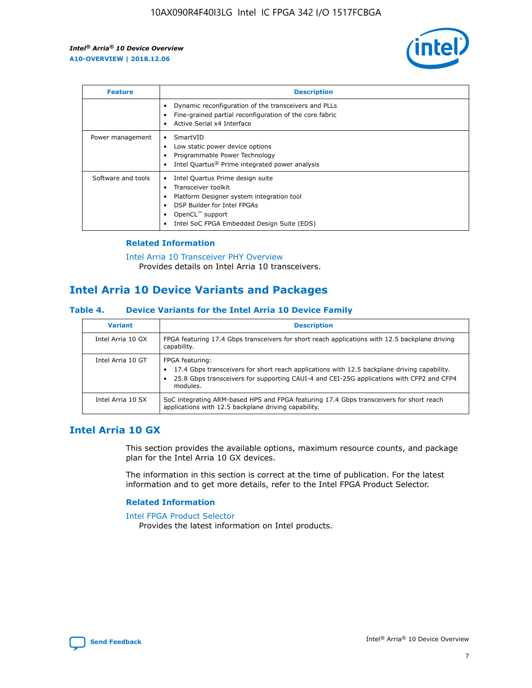

| <b>Feature</b>     | <b>Description</b>                                                                                                                                                                                               |
|--------------------|------------------------------------------------------------------------------------------------------------------------------------------------------------------------------------------------------------------|
|                    | Dynamic reconfiguration of the transceivers and PLLs<br>Fine-grained partial reconfiguration of the core fabric<br>Active Serial x4 Interface<br>$\bullet$                                                       |
| Power management   | SmartVID<br>Low static power device options<br>Programmable Power Technology<br>Intel Quartus <sup>®</sup> Prime integrated power analysis                                                                       |
| Software and tools | Intel Quartus Prime design suite<br>Transceiver toolkit<br>Platform Designer system integration tool<br>DSP Builder for Intel FPGAs<br>OpenCL <sup>™</sup> support<br>Intel SoC FPGA Embedded Design Suite (EDS) |

## **Related Information**

[Intel Arria 10 Transceiver PHY Overview](https://www.intel.com/content/www/us/en/programmable/documentation/nik1398707230472.html#nik1398706768037) Provides details on Intel Arria 10 transceivers.

# **Intel Arria 10 Device Variants and Packages**

#### **Table 4. Device Variants for the Intel Arria 10 Device Family**

| <b>Variant</b>    | <b>Description</b>                                                                                                                                                                                                     |
|-------------------|------------------------------------------------------------------------------------------------------------------------------------------------------------------------------------------------------------------------|
| Intel Arria 10 GX | FPGA featuring 17.4 Gbps transceivers for short reach applications with 12.5 backplane driving<br>capability.                                                                                                          |
| Intel Arria 10 GT | FPGA featuring:<br>17.4 Gbps transceivers for short reach applications with 12.5 backplane driving capability.<br>25.8 Gbps transceivers for supporting CAUI-4 and CEI-25G applications with CFP2 and CFP4<br>modules. |
| Intel Arria 10 SX | SoC integrating ARM-based HPS and FPGA featuring 17.4 Gbps transceivers for short reach<br>applications with 12.5 backplane driving capability.                                                                        |

# **Intel Arria 10 GX**

This section provides the available options, maximum resource counts, and package plan for the Intel Arria 10 GX devices.

The information in this section is correct at the time of publication. For the latest information and to get more details, refer to the Intel FPGA Product Selector.

#### **Related Information**

#### [Intel FPGA Product Selector](http://www.altera.com/products/selector/psg-selector.html) Provides the latest information on Intel products.

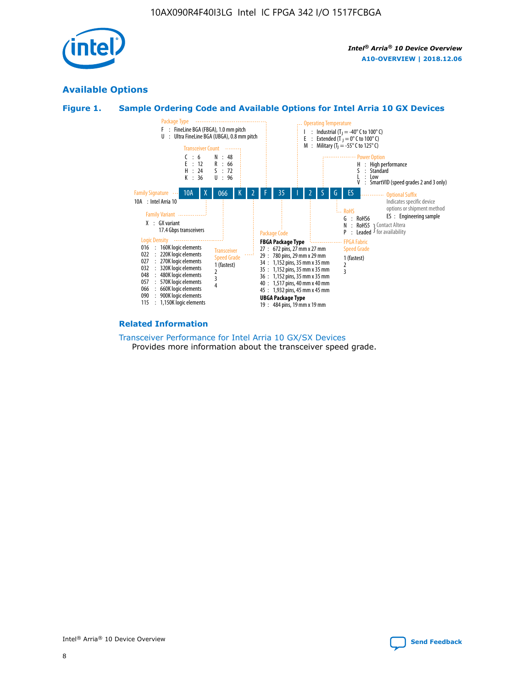

# **Available Options**





#### **Related Information**

[Transceiver Performance for Intel Arria 10 GX/SX Devices](https://www.intel.com/content/www/us/en/programmable/documentation/mcn1413182292568.html#mcn1413213965502) Provides more information about the transceiver speed grade.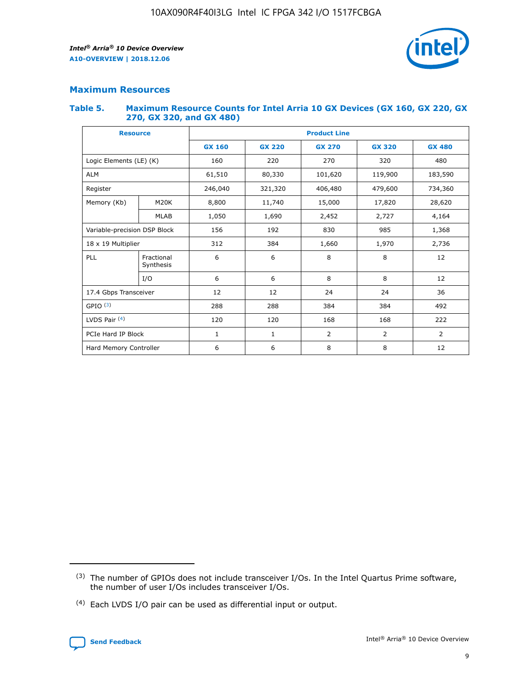

# **Maximum Resources**

#### **Table 5. Maximum Resource Counts for Intel Arria 10 GX Devices (GX 160, GX 220, GX 270, GX 320, and GX 480)**

| <b>Resource</b>              |                         | <b>Product Line</b> |                                |                    |                |                |  |  |  |
|------------------------------|-------------------------|---------------------|--------------------------------|--------------------|----------------|----------------|--|--|--|
|                              |                         | <b>GX 160</b>       | <b>GX 220</b><br><b>GX 270</b> |                    | <b>GX 320</b>  | <b>GX 480</b>  |  |  |  |
| Logic Elements (LE) (K)      |                         | 160                 | 220                            | 270                | 320            | 480            |  |  |  |
| <b>ALM</b>                   |                         | 61,510              | 80,330                         | 101,620            |                | 183,590        |  |  |  |
| Register                     |                         | 246,040             | 321,320                        | 406,480<br>479,600 |                | 734,360        |  |  |  |
| Memory (Kb)                  | M <sub>20</sub> K       | 8,800               | 11,740                         | 15,000             |                | 28,620         |  |  |  |
|                              | <b>MLAB</b>             | 1,050               | 1,690                          | 2,452              | 2,727          | 4,164          |  |  |  |
| Variable-precision DSP Block |                         | 156                 | 192<br>830<br>985              |                    |                | 1,368          |  |  |  |
| 18 x 19 Multiplier           |                         | 312                 | 384                            | 1,970<br>1,660     |                | 2,736          |  |  |  |
| PLL                          | Fractional<br>Synthesis | 6                   | 6                              | 8                  | 8              | 12             |  |  |  |
|                              | I/O                     | 6                   | 6                              | 8                  | 8              | 12             |  |  |  |
| 17.4 Gbps Transceiver        |                         | 12                  | 12                             | 24                 | 24             | 36             |  |  |  |
| GPIO <sup>(3)</sup>          |                         | 288                 | 288                            | 384<br>384         |                | 492            |  |  |  |
| LVDS Pair $(4)$              |                         | 120                 | 120                            | 168                | 168            | 222            |  |  |  |
| PCIe Hard IP Block           |                         | 1                   | 1                              | 2                  | $\overline{2}$ | $\overline{2}$ |  |  |  |
| Hard Memory Controller       |                         | 6                   | 6                              | 8                  | 8              | 12             |  |  |  |

<sup>(4)</sup> Each LVDS I/O pair can be used as differential input or output.



<sup>(3)</sup> The number of GPIOs does not include transceiver I/Os. In the Intel Quartus Prime software, the number of user I/Os includes transceiver I/Os.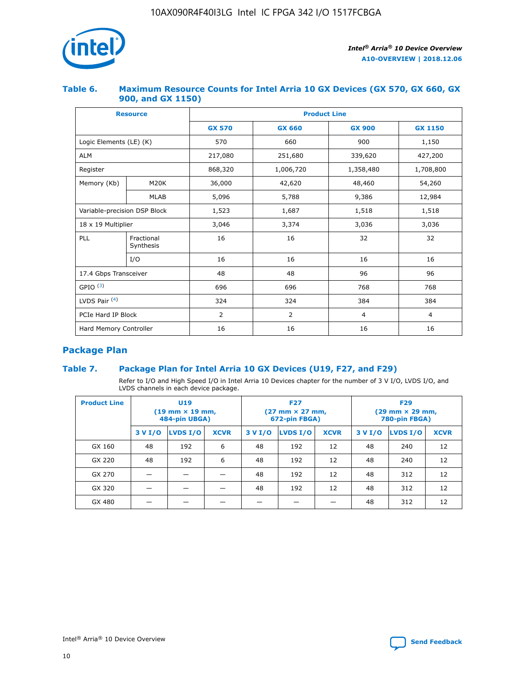

## **Table 6. Maximum Resource Counts for Intel Arria 10 GX Devices (GX 570, GX 660, GX 900, and GX 1150)**

|                              | <b>Resource</b>         | <b>Product Line</b> |               |                |                |  |  |  |  |
|------------------------------|-------------------------|---------------------|---------------|----------------|----------------|--|--|--|--|
|                              |                         | <b>GX 570</b>       | <b>GX 660</b> | <b>GX 900</b>  | <b>GX 1150</b> |  |  |  |  |
| Logic Elements (LE) (K)      |                         | 570                 | 660           | 900            | 1,150          |  |  |  |  |
| <b>ALM</b>                   |                         | 217,080             | 251,680       | 339,620        | 427,200        |  |  |  |  |
| Register                     |                         | 868,320             | 1,006,720     | 1,358,480      | 1,708,800      |  |  |  |  |
| Memory (Kb)                  | <b>M20K</b>             | 36,000              | 42,620        | 48,460         | 54,260         |  |  |  |  |
|                              | <b>MLAB</b>             | 5,096               | 5,788         | 9,386          | 12,984         |  |  |  |  |
| Variable-precision DSP Block |                         | 1,523               | 1,687         | 1,518          | 1,518          |  |  |  |  |
| $18 \times 19$ Multiplier    |                         | 3,046               | 3,374         | 3,036          | 3,036          |  |  |  |  |
| PLL                          | Fractional<br>Synthesis | 16                  | 16            | 32             | 32             |  |  |  |  |
|                              | I/O                     | 16                  | 16            | 16             | 16             |  |  |  |  |
| 17.4 Gbps Transceiver        |                         | 48                  | 48            | 96             | 96             |  |  |  |  |
| GPIO <sup>(3)</sup>          |                         | 696                 | 696           | 768            | 768            |  |  |  |  |
| LVDS Pair $(4)$              |                         | 324                 | 324           | 384            | 384            |  |  |  |  |
| PCIe Hard IP Block           |                         | 2                   | 2             | $\overline{4}$ | $\overline{4}$ |  |  |  |  |
| Hard Memory Controller       |                         | 16                  | 16            | 16             | 16             |  |  |  |  |

# **Package Plan**

# **Table 7. Package Plan for Intel Arria 10 GX Devices (U19, F27, and F29)**

Refer to I/O and High Speed I/O in Intel Arria 10 Devices chapter for the number of 3 V I/O, LVDS I/O, and LVDS channels in each device package.

| <b>Product Line</b> | U <sub>19</sub><br>$(19 \text{ mm} \times 19 \text{ mm})$<br>484-pin UBGA) |          |             |         | <b>F27</b><br>(27 mm × 27 mm,<br>672-pin FBGA) |             | <b>F29</b><br>(29 mm × 29 mm,<br>780-pin FBGA) |          |             |  |
|---------------------|----------------------------------------------------------------------------|----------|-------------|---------|------------------------------------------------|-------------|------------------------------------------------|----------|-------------|--|
|                     | 3 V I/O                                                                    | LVDS I/O | <b>XCVR</b> | 3 V I/O | LVDS I/O                                       | <b>XCVR</b> | 3 V I/O                                        | LVDS I/O | <b>XCVR</b> |  |
| GX 160              | 48                                                                         | 192      | 6           | 48      | 192                                            | 12          | 48                                             | 240      | 12          |  |
| GX 220              | 48                                                                         | 192      | 6           | 48      | 192                                            | 12          | 48                                             | 240      | 12          |  |
| GX 270              |                                                                            |          |             | 48      | 192                                            | 12          | 48                                             | 312      | 12          |  |
| GX 320              |                                                                            |          |             | 48      | 192                                            | 12          | 48                                             | 312      | 12          |  |
| GX 480              |                                                                            |          |             |         |                                                |             | 48                                             | 312      | 12          |  |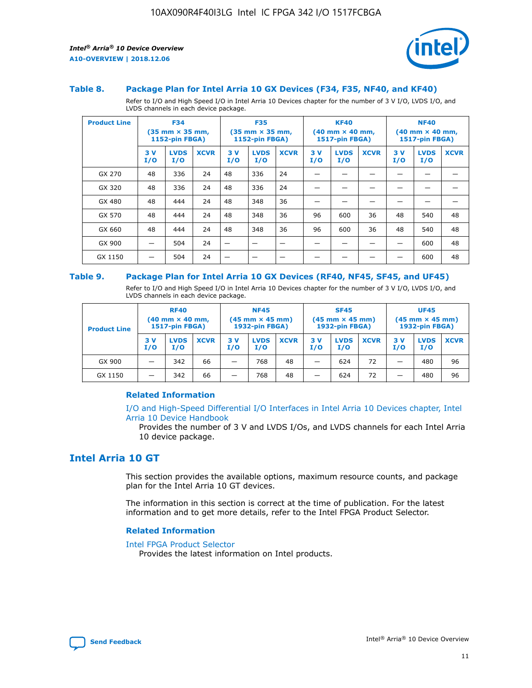

#### **Table 8. Package Plan for Intel Arria 10 GX Devices (F34, F35, NF40, and KF40)**

Refer to I/O and High Speed I/O in Intel Arria 10 Devices chapter for the number of 3 V I/O, LVDS I/O, and LVDS channels in each device package.

| <b>Product Line</b> | <b>F34</b><br>$(35 \text{ mm} \times 35 \text{ mm})$<br>1152-pin FBGA) |                    | <b>F35</b><br>$(35$ mm $\times$ 35 mm,<br><b>1152-pin FBGA)</b> |           | <b>KF40</b><br>$(40 \text{ mm} \times 40 \text{ mm})$<br>1517-pin FBGA) |             |           | <b>NF40</b><br>$(40 \text{ mm} \times 40 \text{ mm})$<br><b>1517-pin FBGA)</b> |             |            |                    |             |
|---------------------|------------------------------------------------------------------------|--------------------|-----------------------------------------------------------------|-----------|-------------------------------------------------------------------------|-------------|-----------|--------------------------------------------------------------------------------|-------------|------------|--------------------|-------------|
|                     | 3V<br>I/O                                                              | <b>LVDS</b><br>I/O | <b>XCVR</b>                                                     | 3V<br>I/O | <b>LVDS</b><br>I/O                                                      | <b>XCVR</b> | 3V<br>I/O | <b>LVDS</b><br>I/O                                                             | <b>XCVR</b> | 3 V<br>I/O | <b>LVDS</b><br>I/O | <b>XCVR</b> |
| GX 270              | 48                                                                     | 336                | 24                                                              | 48        | 336                                                                     | 24          |           |                                                                                |             |            |                    |             |
| GX 320              | 48                                                                     | 336                | 24                                                              | 48        | 336                                                                     | 24          |           |                                                                                |             |            |                    |             |
| GX 480              | 48                                                                     | 444                | 24                                                              | 48        | 348                                                                     | 36          |           |                                                                                |             |            |                    |             |
| GX 570              | 48                                                                     | 444                | 24                                                              | 48        | 348                                                                     | 36          | 96        | 600                                                                            | 36          | 48         | 540                | 48          |
| GX 660              | 48                                                                     | 444                | 24                                                              | 48        | 348                                                                     | 36          | 96        | 600                                                                            | 36          | 48         | 540                | 48          |
| GX 900              |                                                                        | 504                | 24                                                              | –         |                                                                         |             |           |                                                                                |             |            | 600                | 48          |
| GX 1150             |                                                                        | 504                | 24                                                              |           |                                                                         |             |           |                                                                                |             |            | 600                | 48          |

#### **Table 9. Package Plan for Intel Arria 10 GX Devices (RF40, NF45, SF45, and UF45)**

Refer to I/O and High Speed I/O in Intel Arria 10 Devices chapter for the number of 3 V I/O, LVDS I/O, and LVDS channels in each device package.

| <b>Product Line</b> | <b>RF40</b><br>$(40 \text{ mm} \times 40 \text{ mm})$<br>1517-pin FBGA) |                    | <b>NF45</b><br>$(45 \text{ mm} \times 45 \text{ mm})$<br><b>1932-pin FBGA)</b> |            |                    | <b>SF45</b><br>$(45 \text{ mm} \times 45 \text{ mm})$<br><b>1932-pin FBGA)</b> |            |                    | <b>UF45</b><br>$(45 \text{ mm} \times 45 \text{ mm})$<br>1932-pin FBGA) |           |                    |             |
|---------------------|-------------------------------------------------------------------------|--------------------|--------------------------------------------------------------------------------|------------|--------------------|--------------------------------------------------------------------------------|------------|--------------------|-------------------------------------------------------------------------|-----------|--------------------|-------------|
|                     | 3V<br>I/O                                                               | <b>LVDS</b><br>I/O | <b>XCVR</b>                                                                    | 3 V<br>I/O | <b>LVDS</b><br>I/O | <b>XCVR</b>                                                                    | 3 V<br>I/O | <b>LVDS</b><br>I/O | <b>XCVR</b>                                                             | 3V<br>I/O | <b>LVDS</b><br>I/O | <b>XCVR</b> |
| GX 900              |                                                                         | 342                | 66                                                                             | _          | 768                | 48                                                                             |            | 624                | 72                                                                      |           | 480                | 96          |
| GX 1150             |                                                                         | 342                | 66                                                                             | -          | 768                | 48                                                                             |            | 624                | 72                                                                      |           | 480                | 96          |

#### **Related Information**

[I/O and High-Speed Differential I/O Interfaces in Intel Arria 10 Devices chapter, Intel](https://www.intel.com/content/www/us/en/programmable/documentation/sam1403482614086.html#sam1403482030321) [Arria 10 Device Handbook](https://www.intel.com/content/www/us/en/programmable/documentation/sam1403482614086.html#sam1403482030321)

Provides the number of 3 V and LVDS I/Os, and LVDS channels for each Intel Arria 10 device package.

# **Intel Arria 10 GT**

This section provides the available options, maximum resource counts, and package plan for the Intel Arria 10 GT devices.

The information in this section is correct at the time of publication. For the latest information and to get more details, refer to the Intel FPGA Product Selector.

#### **Related Information**

#### [Intel FPGA Product Selector](http://www.altera.com/products/selector/psg-selector.html)

Provides the latest information on Intel products.

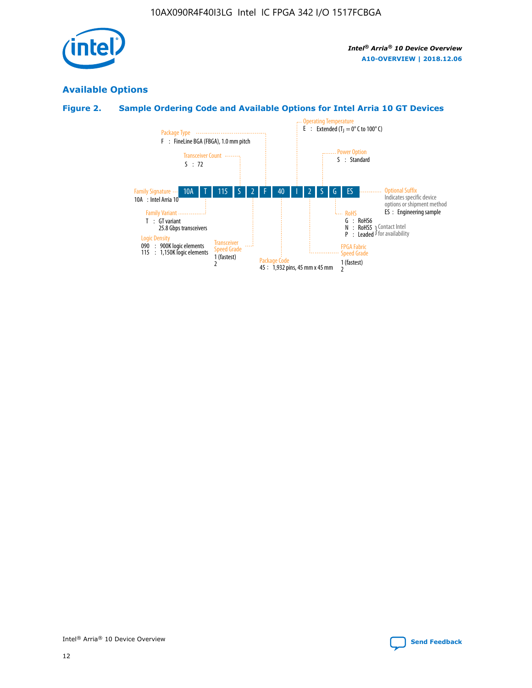

# **Available Options**

# **Figure 2. Sample Ordering Code and Available Options for Intel Arria 10 GT Devices**

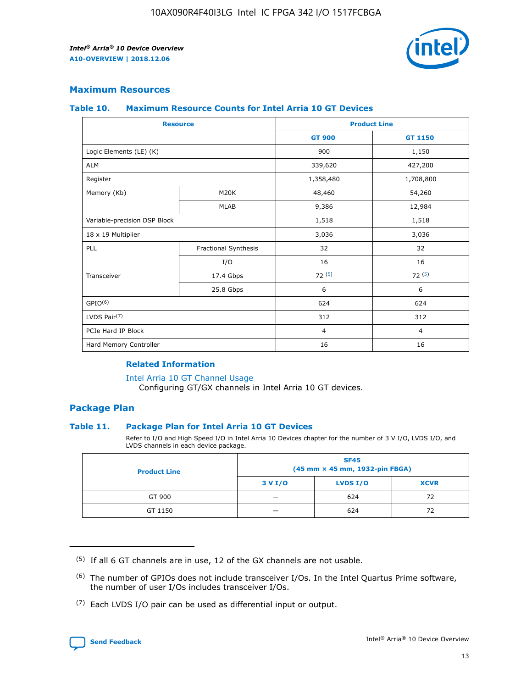

## **Maximum Resources**

#### **Table 10. Maximum Resource Counts for Intel Arria 10 GT Devices**

| <b>Resource</b>              |                      |                | <b>Product Line</b> |  |
|------------------------------|----------------------|----------------|---------------------|--|
|                              |                      | <b>GT 900</b>  | GT 1150             |  |
| Logic Elements (LE) (K)      |                      | 900            | 1,150               |  |
| <b>ALM</b>                   |                      | 339,620        | 427,200             |  |
| Register                     |                      | 1,358,480      | 1,708,800           |  |
| Memory (Kb)                  | M20K                 | 48,460         | 54,260              |  |
|                              | <b>MLAB</b>          | 9,386          | 12,984              |  |
| Variable-precision DSP Block |                      | 1,518          | 1,518               |  |
| 18 x 19 Multiplier           |                      | 3,036          | 3,036               |  |
| PLL                          | Fractional Synthesis | 32             | 32                  |  |
|                              | I/O                  | 16             | 16                  |  |
| Transceiver                  | 17.4 Gbps            | 72(5)          | 72(5)               |  |
|                              | 25.8 Gbps            | 6              | 6                   |  |
| GPIO <sup>(6)</sup>          |                      | 624            | 624                 |  |
| LVDS Pair $(7)$              |                      | 312            | 312                 |  |
| PCIe Hard IP Block           |                      | $\overline{4}$ | $\overline{4}$      |  |
| Hard Memory Controller       |                      | 16             | 16                  |  |

#### **Related Information**

#### [Intel Arria 10 GT Channel Usage](https://www.intel.com/content/www/us/en/programmable/documentation/nik1398707230472.html#nik1398707008178)

Configuring GT/GX channels in Intel Arria 10 GT devices.

## **Package Plan**

#### **Table 11. Package Plan for Intel Arria 10 GT Devices**

Refer to I/O and High Speed I/O in Intel Arria 10 Devices chapter for the number of 3 V I/O, LVDS I/O, and LVDS channels in each device package.

| <b>Product Line</b> | <b>SF45</b><br>(45 mm × 45 mm, 1932-pin FBGA) |                 |             |  |  |  |
|---------------------|-----------------------------------------------|-----------------|-------------|--|--|--|
|                     | 3 V I/O                                       | <b>LVDS I/O</b> | <b>XCVR</b> |  |  |  |
| GT 900              |                                               | 624             | 72          |  |  |  |
| GT 1150             |                                               | 624             |             |  |  |  |

<sup>(7)</sup> Each LVDS I/O pair can be used as differential input or output.



 $(5)$  If all 6 GT channels are in use, 12 of the GX channels are not usable.

<sup>(6)</sup> The number of GPIOs does not include transceiver I/Os. In the Intel Quartus Prime software, the number of user I/Os includes transceiver I/Os.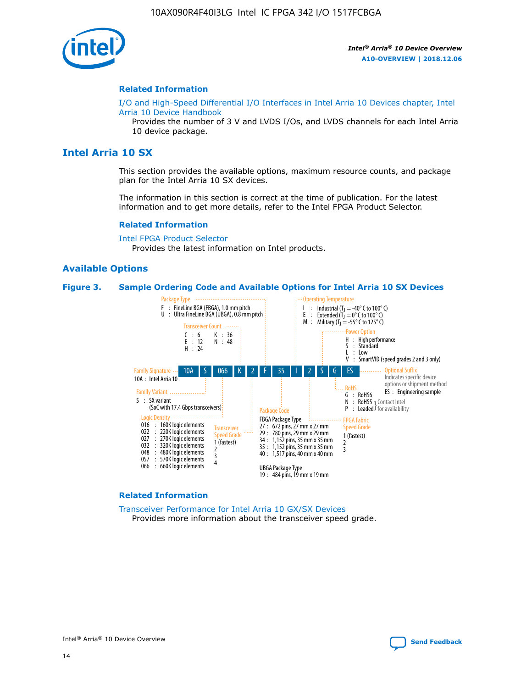

#### **Related Information**

[I/O and High-Speed Differential I/O Interfaces in Intel Arria 10 Devices chapter, Intel](https://www.intel.com/content/www/us/en/programmable/documentation/sam1403482614086.html#sam1403482030321) [Arria 10 Device Handbook](https://www.intel.com/content/www/us/en/programmable/documentation/sam1403482614086.html#sam1403482030321)

Provides the number of 3 V and LVDS I/Os, and LVDS channels for each Intel Arria 10 device package.

# **Intel Arria 10 SX**

This section provides the available options, maximum resource counts, and package plan for the Intel Arria 10 SX devices.

The information in this section is correct at the time of publication. For the latest information and to get more details, refer to the Intel FPGA Product Selector.

#### **Related Information**

[Intel FPGA Product Selector](http://www.altera.com/products/selector/psg-selector.html) Provides the latest information on Intel products.

#### **Available Options**

#### **Figure 3. Sample Ordering Code and Available Options for Intel Arria 10 SX Devices**



#### **Related Information**

[Transceiver Performance for Intel Arria 10 GX/SX Devices](https://www.intel.com/content/www/us/en/programmable/documentation/mcn1413182292568.html#mcn1413213965502) Provides more information about the transceiver speed grade.

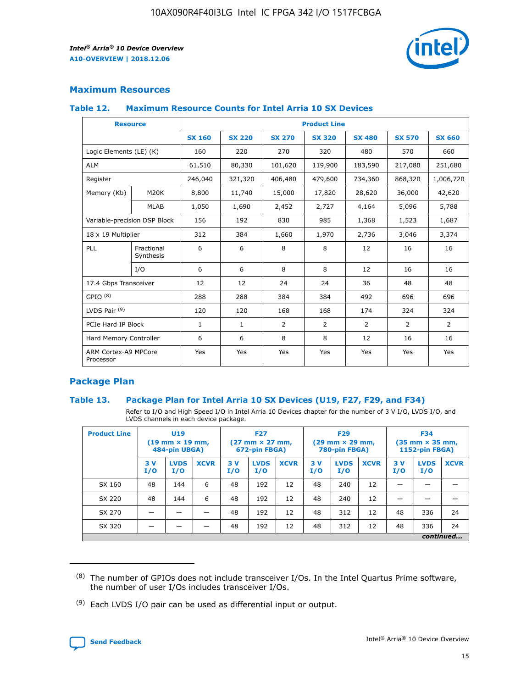

# **Maximum Resources**

#### **Table 12. Maximum Resource Counts for Intel Arria 10 SX Devices**

| <b>Resource</b>                   |                         | <b>Product Line</b> |               |                |                |                |                |                |  |  |  |
|-----------------------------------|-------------------------|---------------------|---------------|----------------|----------------|----------------|----------------|----------------|--|--|--|
|                                   |                         | <b>SX 160</b>       | <b>SX 220</b> | <b>SX 270</b>  | <b>SX 320</b>  | <b>SX 480</b>  | <b>SX 570</b>  | <b>SX 660</b>  |  |  |  |
| Logic Elements (LE) (K)           |                         | 160                 | 220           | 270            | 320            | 480            | 570            | 660            |  |  |  |
| <b>ALM</b>                        |                         | 61,510              | 80,330        | 101,620        | 119,900        | 183,590        | 217,080        | 251,680        |  |  |  |
| Register                          |                         | 246,040             | 321,320       | 406,480        | 479,600        | 734,360        | 868,320        | 1,006,720      |  |  |  |
| Memory (Kb)                       | M <sub>20</sub> K       | 8,800               | 11,740        | 15,000         | 17,820         | 28,620         | 36,000         | 42,620         |  |  |  |
|                                   | <b>MLAB</b>             | 1,050               | 1,690         | 2,452          | 2,727          | 4,164          | 5,096          | 5,788          |  |  |  |
| Variable-precision DSP Block      |                         | 156                 | 192           | 830            | 985            | 1,368          | 1,523          | 1,687          |  |  |  |
| 18 x 19 Multiplier                |                         | 312                 | 384           | 1,660          | 1,970          | 2,736          | 3,046          | 3,374          |  |  |  |
| PLL                               | Fractional<br>Synthesis | 6                   | 6             | 8              | 8              | 12             | 16             | 16             |  |  |  |
|                                   | I/O                     | 6                   | 6             | 8              | 8              | 12             | 16             | 16             |  |  |  |
| 17.4 Gbps Transceiver             |                         | 12                  | 12            | 24             | 24             | 36             | 48             | 48             |  |  |  |
| GPIO <sup>(8)</sup>               |                         | 288                 | 288           | 384            | 384            | 492            | 696            | 696            |  |  |  |
| LVDS Pair $(9)$                   |                         | 120                 | 120           | 168            | 168            | 174            | 324            | 324            |  |  |  |
| PCIe Hard IP Block                |                         | $\mathbf{1}$        | $\mathbf{1}$  | $\overline{2}$ | $\overline{2}$ | $\overline{2}$ | $\overline{2}$ | $\overline{2}$ |  |  |  |
| Hard Memory Controller            |                         | 6                   | 6             | 8              | 8              | 12             | 16             | 16             |  |  |  |
| ARM Cortex-A9 MPCore<br>Processor |                         | Yes                 | Yes           | Yes            | Yes            | Yes            | Yes            | <b>Yes</b>     |  |  |  |

# **Package Plan**

#### **Table 13. Package Plan for Intel Arria 10 SX Devices (U19, F27, F29, and F34)**

Refer to I/O and High Speed I/O in Intel Arria 10 Devices chapter for the number of 3 V I/O, LVDS I/O, and LVDS channels in each device package.

| <b>Product Line</b> | U19<br>$(19 \text{ mm} \times 19 \text{ mm})$<br>484-pin UBGA) |                    | <b>F27</b><br>$(27 \text{ mm} \times 27 \text{ mm})$<br>672-pin FBGA) |           | <b>F29</b><br>$(29 \text{ mm} \times 29 \text{ mm})$<br>780-pin FBGA) |             |            | <b>F34</b><br>$(35 \text{ mm} \times 35 \text{ mm})$<br><b>1152-pin FBGA)</b> |             |           |                    |             |
|---------------------|----------------------------------------------------------------|--------------------|-----------------------------------------------------------------------|-----------|-----------------------------------------------------------------------|-------------|------------|-------------------------------------------------------------------------------|-------------|-----------|--------------------|-------------|
|                     | 3V<br>I/O                                                      | <b>LVDS</b><br>I/O | <b>XCVR</b>                                                           | 3V<br>I/O | <b>LVDS</b><br>I/O                                                    | <b>XCVR</b> | 3 V<br>I/O | <b>LVDS</b><br>I/O                                                            | <b>XCVR</b> | 3V<br>I/O | <b>LVDS</b><br>I/O | <b>XCVR</b> |
| SX 160              | 48                                                             | 144                | 6                                                                     | 48        | 192                                                                   | 12          | 48         | 240                                                                           | 12          | –         |                    |             |
| SX 220              | 48                                                             | 144                | 6                                                                     | 48        | 192                                                                   | 12          | 48         | 240                                                                           | 12          |           |                    |             |
| SX 270              |                                                                |                    |                                                                       | 48        | 192                                                                   | 12          | 48         | 312                                                                           | 12          | 48        | 336                | 24          |
| SX 320              |                                                                |                    |                                                                       | 48        | 192                                                                   | 12          | 48         | 312                                                                           | 12          | 48        | 336                | 24          |
|                     | continued                                                      |                    |                                                                       |           |                                                                       |             |            |                                                                               |             |           |                    |             |

 $(8)$  The number of GPIOs does not include transceiver I/Os. In the Intel Quartus Prime software, the number of user I/Os includes transceiver I/Os.

 $(9)$  Each LVDS I/O pair can be used as differential input or output.

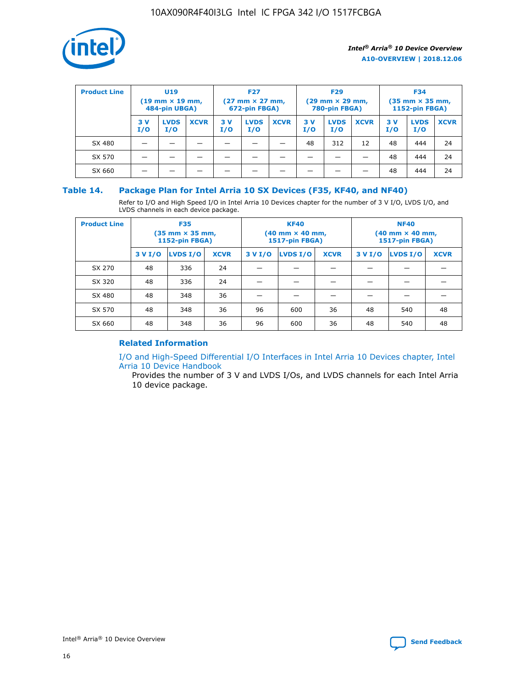

| <b>Product Line</b> | U <sub>19</sub><br>$(19 \text{ mm} \times 19 \text{ mm})$<br>484-pin UBGA) |                    | <b>F27</b><br>$(27 \text{ mm} \times 27 \text{ mm})$<br>672-pin FBGA) |            | <b>F29</b><br>$(29$ mm $\times$ 29 mm,<br>780-pin FBGA) |             |           | <b>F34</b><br>$(35$ mm $\times$ 35 mm,<br><b>1152-pin FBGA)</b> |             |            |                    |             |
|---------------------|----------------------------------------------------------------------------|--------------------|-----------------------------------------------------------------------|------------|---------------------------------------------------------|-------------|-----------|-----------------------------------------------------------------|-------------|------------|--------------------|-------------|
|                     | 3 V<br>I/O                                                                 | <b>LVDS</b><br>I/O | <b>XCVR</b>                                                           | 3 V<br>I/O | <b>LVDS</b><br>I/O                                      | <b>XCVR</b> | 3V<br>I/O | <b>LVDS</b><br>I/O                                              | <b>XCVR</b> | 3 V<br>I/O | <b>LVDS</b><br>I/O | <b>XCVR</b> |
| SX 480              |                                                                            |                    |                                                                       |            |                                                         |             | 48        | 312                                                             | 12          | 48         | 444                | 24          |
| SX 570              |                                                                            |                    |                                                                       |            |                                                         |             |           |                                                                 |             | 48         | 444                | 24          |
| SX 660              |                                                                            |                    |                                                                       |            |                                                         |             |           |                                                                 |             | 48         | 444                | 24          |

## **Table 14. Package Plan for Intel Arria 10 SX Devices (F35, KF40, and NF40)**

Refer to I/O and High Speed I/O in Intel Arria 10 Devices chapter for the number of 3 V I/O, LVDS I/O, and LVDS channels in each device package.

| <b>Product Line</b> | <b>F35</b><br>(35 mm × 35 mm,<br><b>1152-pin FBGA)</b> |          |             |                                           | <b>KF40</b><br>(40 mm × 40 mm,<br>1517-pin FBGA) |    | <b>NF40</b><br>(40 mm × 40 mm,<br>1517-pin FBGA) |          |             |  |
|---------------------|--------------------------------------------------------|----------|-------------|-------------------------------------------|--------------------------------------------------|----|--------------------------------------------------|----------|-------------|--|
|                     | 3 V I/O                                                | LVDS I/O | <b>XCVR</b> | <b>LVDS I/O</b><br>3 V I/O<br><b>XCVR</b> |                                                  |    | 3 V I/O                                          | LVDS I/O | <b>XCVR</b> |  |
| SX 270              | 48                                                     | 336      | 24          |                                           |                                                  |    |                                                  |          |             |  |
| SX 320              | 48                                                     | 336      | 24          |                                           |                                                  |    |                                                  |          |             |  |
| SX 480              | 48                                                     | 348      | 36          |                                           |                                                  |    |                                                  |          |             |  |
| SX 570              | 48                                                     | 348      | 36          | 96                                        | 600                                              | 36 | 48                                               | 540      | 48          |  |
| SX 660              | 48                                                     | 348      | 36          | 96                                        | 600                                              | 36 | 48                                               | 540      | 48          |  |

# **Related Information**

[I/O and High-Speed Differential I/O Interfaces in Intel Arria 10 Devices chapter, Intel](https://www.intel.com/content/www/us/en/programmable/documentation/sam1403482614086.html#sam1403482030321) [Arria 10 Device Handbook](https://www.intel.com/content/www/us/en/programmable/documentation/sam1403482614086.html#sam1403482030321)

Provides the number of 3 V and LVDS I/Os, and LVDS channels for each Intel Arria 10 device package.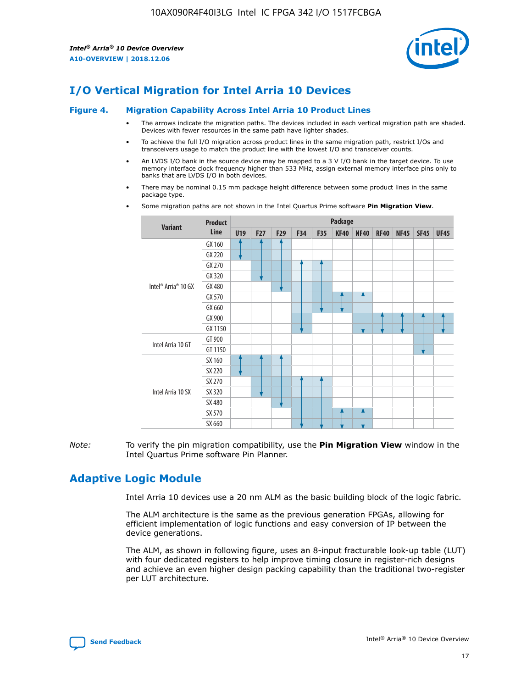

# **I/O Vertical Migration for Intel Arria 10 Devices**

#### **Figure 4. Migration Capability Across Intel Arria 10 Product Lines**

- The arrows indicate the migration paths. The devices included in each vertical migration path are shaded. Devices with fewer resources in the same path have lighter shades.
- To achieve the full I/O migration across product lines in the same migration path, restrict I/Os and transceivers usage to match the product line with the lowest I/O and transceiver counts.
- An LVDS I/O bank in the source device may be mapped to a 3 V I/O bank in the target device. To use memory interface clock frequency higher than 533 MHz, assign external memory interface pins only to banks that are LVDS I/O in both devices.
- There may be nominal 0.15 mm package height difference between some product lines in the same package type.
	- **Variant Product Line Package U19 F27 F29 F34 F35 KF40 NF40 RF40 NF45 SF45 UF45** Intel® Arria® 10 GX GX 160 GX 220 GX 270 GX 320 GX 480 GX 570 GX 660 GX 900 GX 1150 Intel Arria 10 GT GT 900 GT 1150 Intel Arria 10 SX SX 160 SX 220 SX 270 SX 320 SX 480 SX 570 SX 660
- Some migration paths are not shown in the Intel Quartus Prime software **Pin Migration View**.

*Note:* To verify the pin migration compatibility, use the **Pin Migration View** window in the Intel Quartus Prime software Pin Planner.

# **Adaptive Logic Module**

Intel Arria 10 devices use a 20 nm ALM as the basic building block of the logic fabric.

The ALM architecture is the same as the previous generation FPGAs, allowing for efficient implementation of logic functions and easy conversion of IP between the device generations.

The ALM, as shown in following figure, uses an 8-input fracturable look-up table (LUT) with four dedicated registers to help improve timing closure in register-rich designs and achieve an even higher design packing capability than the traditional two-register per LUT architecture.

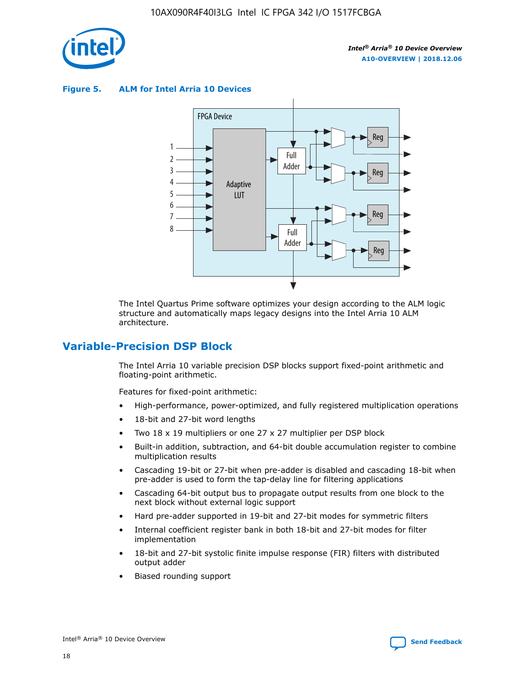

**Figure 5. ALM for Intel Arria 10 Devices**



The Intel Quartus Prime software optimizes your design according to the ALM logic structure and automatically maps legacy designs into the Intel Arria 10 ALM architecture.

# **Variable-Precision DSP Block**

The Intel Arria 10 variable precision DSP blocks support fixed-point arithmetic and floating-point arithmetic.

Features for fixed-point arithmetic:

- High-performance, power-optimized, and fully registered multiplication operations
- 18-bit and 27-bit word lengths
- Two 18 x 19 multipliers or one 27 x 27 multiplier per DSP block
- Built-in addition, subtraction, and 64-bit double accumulation register to combine multiplication results
- Cascading 19-bit or 27-bit when pre-adder is disabled and cascading 18-bit when pre-adder is used to form the tap-delay line for filtering applications
- Cascading 64-bit output bus to propagate output results from one block to the next block without external logic support
- Hard pre-adder supported in 19-bit and 27-bit modes for symmetric filters
- Internal coefficient register bank in both 18-bit and 27-bit modes for filter implementation
- 18-bit and 27-bit systolic finite impulse response (FIR) filters with distributed output adder
- Biased rounding support

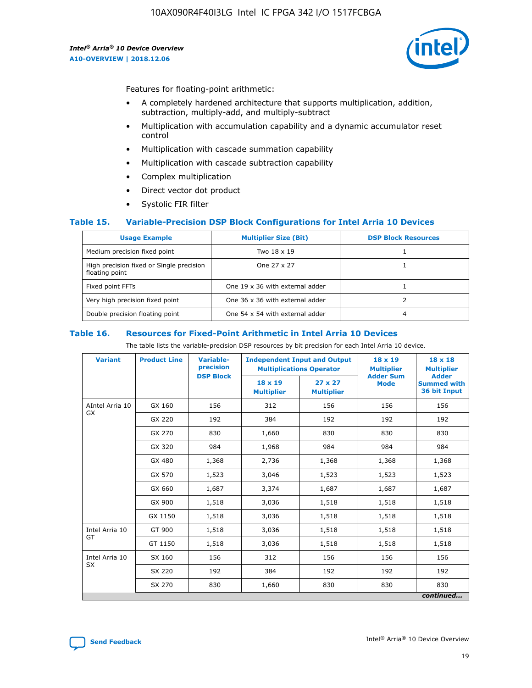

Features for floating-point arithmetic:

- A completely hardened architecture that supports multiplication, addition, subtraction, multiply-add, and multiply-subtract
- Multiplication with accumulation capability and a dynamic accumulator reset control
- Multiplication with cascade summation capability
- Multiplication with cascade subtraction capability
- Complex multiplication
- Direct vector dot product
- Systolic FIR filter

#### **Table 15. Variable-Precision DSP Block Configurations for Intel Arria 10 Devices**

| <b>Usage Example</b>                                       | <b>Multiplier Size (Bit)</b>    | <b>DSP Block Resources</b> |
|------------------------------------------------------------|---------------------------------|----------------------------|
| Medium precision fixed point                               | Two 18 x 19                     |                            |
| High precision fixed or Single precision<br>floating point | One 27 x 27                     |                            |
| Fixed point FFTs                                           | One 19 x 36 with external adder |                            |
| Very high precision fixed point                            | One 36 x 36 with external adder |                            |
| Double precision floating point                            | One 54 x 54 with external adder | 4                          |

#### **Table 16. Resources for Fixed-Point Arithmetic in Intel Arria 10 Devices**

The table lists the variable-precision DSP resources by bit precision for each Intel Arria 10 device.

| <b>Variant</b>  | <b>Product Line</b> | Variable-<br>precision<br><b>DSP Block</b> | <b>Independent Input and Output</b><br><b>Multiplications Operator</b> |                                     | $18 \times 19$<br><b>Multiplier</b><br><b>Adder Sum</b> | $18 \times 18$<br><b>Multiplier</b><br><b>Adder</b> |
|-----------------|---------------------|--------------------------------------------|------------------------------------------------------------------------|-------------------------------------|---------------------------------------------------------|-----------------------------------------------------|
|                 |                     |                                            | 18 x 19<br><b>Multiplier</b>                                           | $27 \times 27$<br><b>Multiplier</b> | <b>Mode</b>                                             | <b>Summed with</b><br>36 bit Input                  |
| AIntel Arria 10 | GX 160              | 156                                        | 312                                                                    | 156                                 | 156                                                     | 156                                                 |
| GX              | GX 220              | 192                                        | 384                                                                    | 192                                 | 192                                                     | 192                                                 |
|                 | GX 270              | 830                                        | 1,660                                                                  | 830                                 | 830                                                     | 830                                                 |
|                 | GX 320              | 984                                        | 1,968                                                                  | 984                                 | 984                                                     | 984                                                 |
|                 | GX 480              | 1,368                                      | 2,736                                                                  | 1,368                               | 1,368                                                   | 1,368                                               |
|                 | GX 570              | 1,523                                      | 3,046                                                                  | 1,523                               | 1,523                                                   | 1,523                                               |
|                 | GX 660              | 1,687                                      | 3,374                                                                  | 1,687                               | 1,687                                                   | 1,687                                               |
|                 | GX 900              | 1,518                                      | 3,036                                                                  | 1,518                               | 1,518                                                   | 1,518                                               |
|                 | GX 1150             | 1,518                                      | 3,036                                                                  | 1,518                               | 1,518                                                   | 1,518                                               |
| Intel Arria 10  | GT 900              | 1,518                                      | 3,036                                                                  | 1,518                               | 1,518                                                   | 1,518                                               |
| GT              | GT 1150             | 1,518                                      | 3,036                                                                  | 1,518                               | 1,518                                                   | 1,518                                               |
| Intel Arria 10  | SX 160              | 156                                        | 312                                                                    | 156                                 | 156                                                     | 156                                                 |
| <b>SX</b>       | SX 220              | 192                                        | 384                                                                    | 192                                 | 192                                                     | 192                                                 |
|                 | SX 270              | 830                                        | 1,660                                                                  | 830                                 | 830                                                     | 830                                                 |
|                 |                     |                                            |                                                                        |                                     |                                                         | continued                                           |

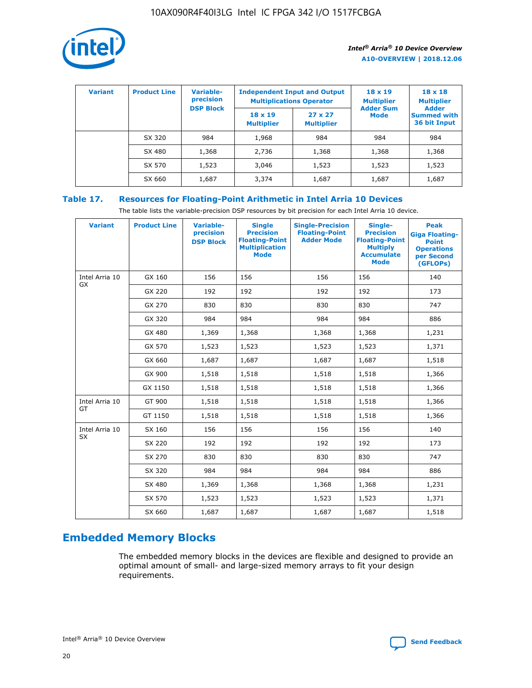

| <b>Variant</b> | <b>Product Line</b> | <b>Variable-</b><br>precision<br><b>DSP Block</b> | <b>Independent Input and Output</b><br><b>Multiplications Operator</b> |                                     | $18 \times 19$<br><b>Multiplier</b><br><b>Adder Sum</b> | $18 \times 18$<br><b>Multiplier</b><br><b>Adder</b> |  |
|----------------|---------------------|---------------------------------------------------|------------------------------------------------------------------------|-------------------------------------|---------------------------------------------------------|-----------------------------------------------------|--|
|                |                     |                                                   | $18 \times 19$<br><b>Multiplier</b>                                    | $27 \times 27$<br><b>Multiplier</b> | <b>Mode</b>                                             | <b>Summed with</b><br>36 bit Input                  |  |
|                | SX 320              | 984                                               | 1,968                                                                  | 984                                 | 984                                                     | 984                                                 |  |
|                | SX 480              | 1,368                                             | 2,736                                                                  | 1,368                               | 1,368                                                   | 1,368                                               |  |
|                | SX 570              | 1,523                                             | 3,046                                                                  | 1,523                               | 1,523                                                   | 1,523                                               |  |
|                | SX 660              | 1,687                                             | 3,374                                                                  | 1,687                               | 1,687                                                   | 1,687                                               |  |

# **Table 17. Resources for Floating-Point Arithmetic in Intel Arria 10 Devices**

The table lists the variable-precision DSP resources by bit precision for each Intel Arria 10 device.

| <b>Variant</b>              | <b>Product Line</b> | <b>Variable-</b><br>precision<br><b>DSP Block</b> | <b>Single</b><br><b>Precision</b><br><b>Floating-Point</b><br><b>Multiplication</b><br><b>Mode</b> | <b>Single-Precision</b><br><b>Floating-Point</b><br><b>Adder Mode</b> | Single-<br><b>Precision</b><br><b>Floating-Point</b><br><b>Multiply</b><br><b>Accumulate</b><br><b>Mode</b> | <b>Peak</b><br><b>Giga Floating-</b><br><b>Point</b><br><b>Operations</b><br>per Second<br>(GFLOPs) |
|-----------------------------|---------------------|---------------------------------------------------|----------------------------------------------------------------------------------------------------|-----------------------------------------------------------------------|-------------------------------------------------------------------------------------------------------------|-----------------------------------------------------------------------------------------------------|
| Intel Arria 10<br>GX        | GX 160              | 156                                               | 156                                                                                                | 156                                                                   | 156                                                                                                         | 140                                                                                                 |
|                             | GX 220              | 192                                               | 192                                                                                                | 192                                                                   | 192                                                                                                         | 173                                                                                                 |
|                             | GX 270              | 830                                               | 830                                                                                                | 830                                                                   | 830                                                                                                         | 747                                                                                                 |
|                             | GX 320              | 984                                               | 984                                                                                                | 984                                                                   | 984                                                                                                         | 886                                                                                                 |
|                             | GX 480              | 1,369                                             | 1,368                                                                                              | 1,368                                                                 | 1,368                                                                                                       | 1,231                                                                                               |
|                             | GX 570              | 1,523                                             | 1,523                                                                                              | 1,523                                                                 | 1,523                                                                                                       | 1,371                                                                                               |
|                             | GX 660              | 1,687                                             | 1,687                                                                                              | 1,687                                                                 | 1,687                                                                                                       | 1,518                                                                                               |
|                             | GX 900              | 1,518                                             | 1,518                                                                                              | 1,518                                                                 | 1,518                                                                                                       | 1,366                                                                                               |
|                             | GX 1150             | 1,518                                             | 1,518                                                                                              | 1,518                                                                 | 1,518                                                                                                       | 1,366                                                                                               |
| Intel Arria 10              | GT 900              | 1,518                                             | 1,518                                                                                              | 1,518                                                                 | 1,518                                                                                                       | 1,366                                                                                               |
| GT                          | GT 1150             | 1,518                                             | 1,518                                                                                              | 1,518                                                                 | 1,518                                                                                                       | 1,366                                                                                               |
| Intel Arria 10<br><b>SX</b> | SX 160              | 156                                               | 156                                                                                                | 156                                                                   | 156                                                                                                         | 140                                                                                                 |
|                             | SX 220              | 192                                               | 192                                                                                                | 192                                                                   | 192                                                                                                         | 173                                                                                                 |
|                             | SX 270              | 830                                               | 830                                                                                                | 830                                                                   | 830                                                                                                         | 747                                                                                                 |
|                             | SX 320              | 984                                               | 984                                                                                                | 984                                                                   | 984                                                                                                         | 886                                                                                                 |
|                             | SX 480              | 1,369                                             | 1,368                                                                                              | 1,368                                                                 | 1,368                                                                                                       | 1,231                                                                                               |
|                             | SX 570              | 1,523                                             | 1,523                                                                                              | 1,523                                                                 | 1,523                                                                                                       | 1,371                                                                                               |
|                             | SX 660              | 1,687                                             | 1,687                                                                                              | 1,687                                                                 | 1,687                                                                                                       | 1,518                                                                                               |

# **Embedded Memory Blocks**

The embedded memory blocks in the devices are flexible and designed to provide an optimal amount of small- and large-sized memory arrays to fit your design requirements.

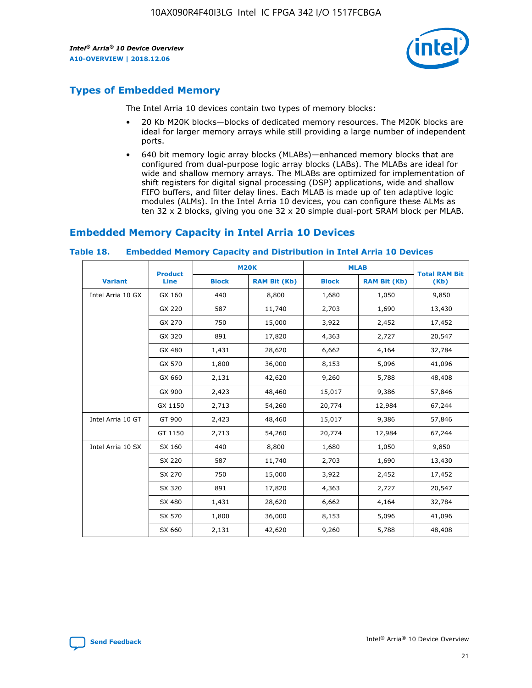

# **Types of Embedded Memory**

The Intel Arria 10 devices contain two types of memory blocks:

- 20 Kb M20K blocks—blocks of dedicated memory resources. The M20K blocks are ideal for larger memory arrays while still providing a large number of independent ports.
- 640 bit memory logic array blocks (MLABs)—enhanced memory blocks that are configured from dual-purpose logic array blocks (LABs). The MLABs are ideal for wide and shallow memory arrays. The MLABs are optimized for implementation of shift registers for digital signal processing (DSP) applications, wide and shallow FIFO buffers, and filter delay lines. Each MLAB is made up of ten adaptive logic modules (ALMs). In the Intel Arria 10 devices, you can configure these ALMs as ten 32 x 2 blocks, giving you one 32 x 20 simple dual-port SRAM block per MLAB.

# **Embedded Memory Capacity in Intel Arria 10 Devices**

|                   | <b>Product</b> |              | <b>M20K</b>         | <b>MLAB</b>  |                     | <b>Total RAM Bit</b> |
|-------------------|----------------|--------------|---------------------|--------------|---------------------|----------------------|
| <b>Variant</b>    | <b>Line</b>    | <b>Block</b> | <b>RAM Bit (Kb)</b> | <b>Block</b> | <b>RAM Bit (Kb)</b> | (Kb)                 |
| Intel Arria 10 GX | GX 160         | 440          | 8,800               | 1,680        | 1,050               | 9,850                |
|                   | GX 220         | 587          | 11,740              | 2,703        | 1,690               | 13,430               |
|                   | GX 270         | 750          | 15,000              | 3,922        | 2,452               | 17,452               |
|                   | GX 320         | 891          | 17,820              | 4,363        | 2,727               | 20,547               |
|                   | GX 480         | 1,431        | 28,620              | 6,662        | 4,164               | 32,784               |
|                   | GX 570         | 1,800        | 36,000              | 8,153        | 5,096               | 41,096               |
|                   | GX 660         | 2,131        | 42,620              | 9,260        | 5,788               | 48,408               |
|                   | GX 900         | 2,423        | 48,460              | 15,017       | 9,386               | 57,846               |
|                   | GX 1150        | 2,713        | 54,260              | 20,774       | 12,984              | 67,244               |
| Intel Arria 10 GT | GT 900         | 2,423        | 48,460              | 15,017       | 9,386               | 57,846               |
|                   | GT 1150        | 2,713        | 54,260              | 20,774       | 12,984              | 67,244               |
| Intel Arria 10 SX | SX 160         | 440          | 8,800               | 1,680        | 1,050               | 9,850                |
|                   | SX 220         | 587          | 11,740              | 2,703        | 1,690               | 13,430               |
|                   | SX 270         | 750          | 15,000              | 3,922        | 2,452               | 17,452               |
|                   | SX 320         | 891          | 17,820              | 4,363        | 2,727               | 20,547               |
|                   | SX 480         | 1,431        | 28,620              | 6,662        | 4,164               | 32,784               |
|                   | SX 570         | 1,800        | 36,000              | 8,153        | 5,096               | 41,096               |
|                   | SX 660         | 2,131        | 42,620              | 9,260        | 5,788               | 48,408               |

#### **Table 18. Embedded Memory Capacity and Distribution in Intel Arria 10 Devices**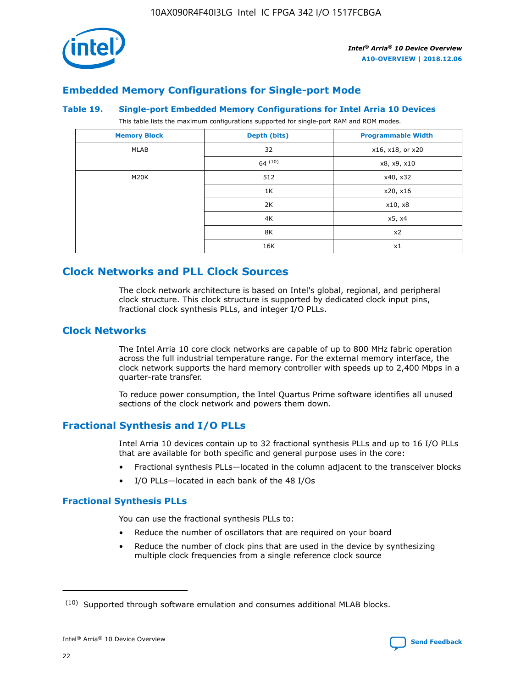

# **Embedded Memory Configurations for Single-port Mode**

#### **Table 19. Single-port Embedded Memory Configurations for Intel Arria 10 Devices**

This table lists the maximum configurations supported for single-port RAM and ROM modes.

| <b>Memory Block</b> | Depth (bits) | <b>Programmable Width</b> |
|---------------------|--------------|---------------------------|
| MLAB                | 32           | x16, x18, or x20          |
|                     | 64(10)       | x8, x9, x10               |
| M20K                | 512          | x40, x32                  |
|                     | 1K           | x20, x16                  |
|                     | 2K           | x10, x8                   |
|                     | 4K           | x5, x4                    |
|                     | 8K           | x2                        |
|                     | 16K          | x1                        |

# **Clock Networks and PLL Clock Sources**

The clock network architecture is based on Intel's global, regional, and peripheral clock structure. This clock structure is supported by dedicated clock input pins, fractional clock synthesis PLLs, and integer I/O PLLs.

# **Clock Networks**

The Intel Arria 10 core clock networks are capable of up to 800 MHz fabric operation across the full industrial temperature range. For the external memory interface, the clock network supports the hard memory controller with speeds up to 2,400 Mbps in a quarter-rate transfer.

To reduce power consumption, the Intel Quartus Prime software identifies all unused sections of the clock network and powers them down.

# **Fractional Synthesis and I/O PLLs**

Intel Arria 10 devices contain up to 32 fractional synthesis PLLs and up to 16 I/O PLLs that are available for both specific and general purpose uses in the core:

- Fractional synthesis PLLs—located in the column adjacent to the transceiver blocks
- I/O PLLs—located in each bank of the 48 I/Os

#### **Fractional Synthesis PLLs**

You can use the fractional synthesis PLLs to:

- Reduce the number of oscillators that are required on your board
- Reduce the number of clock pins that are used in the device by synthesizing multiple clock frequencies from a single reference clock source

<sup>(10)</sup> Supported through software emulation and consumes additional MLAB blocks.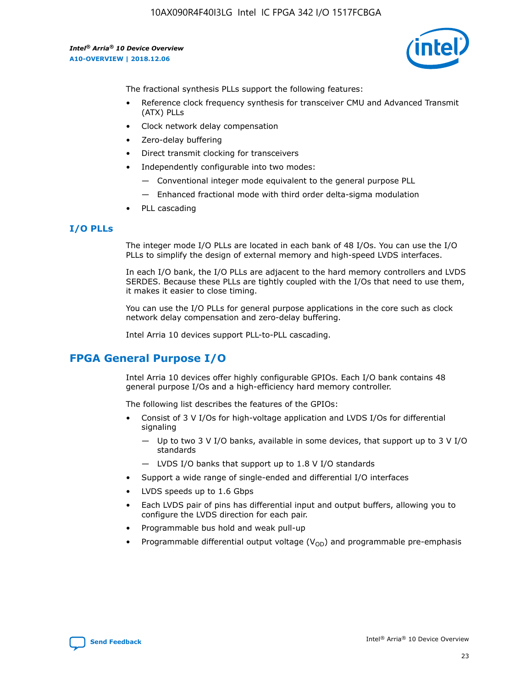

The fractional synthesis PLLs support the following features:

- Reference clock frequency synthesis for transceiver CMU and Advanced Transmit (ATX) PLLs
- Clock network delay compensation
- Zero-delay buffering
- Direct transmit clocking for transceivers
- Independently configurable into two modes:
	- Conventional integer mode equivalent to the general purpose PLL
	- Enhanced fractional mode with third order delta-sigma modulation
- PLL cascading

# **I/O PLLs**

The integer mode I/O PLLs are located in each bank of 48 I/Os. You can use the I/O PLLs to simplify the design of external memory and high-speed LVDS interfaces.

In each I/O bank, the I/O PLLs are adjacent to the hard memory controllers and LVDS SERDES. Because these PLLs are tightly coupled with the I/Os that need to use them, it makes it easier to close timing.

You can use the I/O PLLs for general purpose applications in the core such as clock network delay compensation and zero-delay buffering.

Intel Arria 10 devices support PLL-to-PLL cascading.

# **FPGA General Purpose I/O**

Intel Arria 10 devices offer highly configurable GPIOs. Each I/O bank contains 48 general purpose I/Os and a high-efficiency hard memory controller.

The following list describes the features of the GPIOs:

- Consist of 3 V I/Os for high-voltage application and LVDS I/Os for differential signaling
	- Up to two 3 V I/O banks, available in some devices, that support up to 3 V I/O standards
	- LVDS I/O banks that support up to 1.8 V I/O standards
- Support a wide range of single-ended and differential I/O interfaces
- LVDS speeds up to 1.6 Gbps
- Each LVDS pair of pins has differential input and output buffers, allowing you to configure the LVDS direction for each pair.
- Programmable bus hold and weak pull-up
- Programmable differential output voltage  $(V_{OD})$  and programmable pre-emphasis

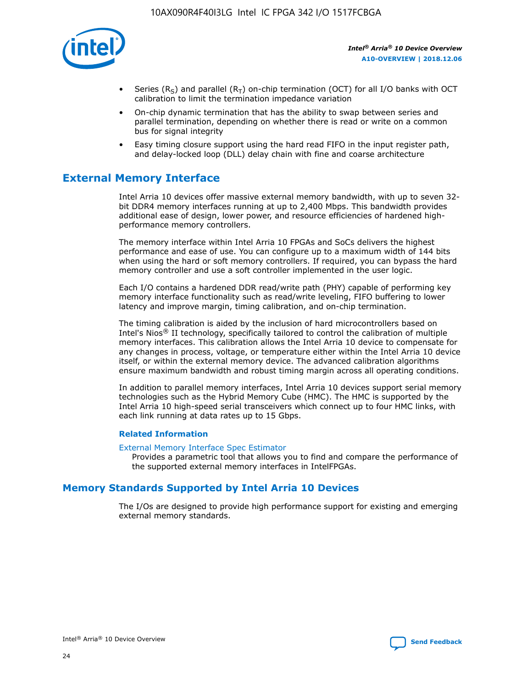

- Series (R<sub>S</sub>) and parallel (R<sub>T</sub>) on-chip termination (OCT) for all I/O banks with OCT calibration to limit the termination impedance variation
- On-chip dynamic termination that has the ability to swap between series and parallel termination, depending on whether there is read or write on a common bus for signal integrity
- Easy timing closure support using the hard read FIFO in the input register path, and delay-locked loop (DLL) delay chain with fine and coarse architecture

# **External Memory Interface**

Intel Arria 10 devices offer massive external memory bandwidth, with up to seven 32 bit DDR4 memory interfaces running at up to 2,400 Mbps. This bandwidth provides additional ease of design, lower power, and resource efficiencies of hardened highperformance memory controllers.

The memory interface within Intel Arria 10 FPGAs and SoCs delivers the highest performance and ease of use. You can configure up to a maximum width of 144 bits when using the hard or soft memory controllers. If required, you can bypass the hard memory controller and use a soft controller implemented in the user logic.

Each I/O contains a hardened DDR read/write path (PHY) capable of performing key memory interface functionality such as read/write leveling, FIFO buffering to lower latency and improve margin, timing calibration, and on-chip termination.

The timing calibration is aided by the inclusion of hard microcontrollers based on Intel's Nios® II technology, specifically tailored to control the calibration of multiple memory interfaces. This calibration allows the Intel Arria 10 device to compensate for any changes in process, voltage, or temperature either within the Intel Arria 10 device itself, or within the external memory device. The advanced calibration algorithms ensure maximum bandwidth and robust timing margin across all operating conditions.

In addition to parallel memory interfaces, Intel Arria 10 devices support serial memory technologies such as the Hybrid Memory Cube (HMC). The HMC is supported by the Intel Arria 10 high-speed serial transceivers which connect up to four HMC links, with each link running at data rates up to 15 Gbps.

#### **Related Information**

#### [External Memory Interface Spec Estimator](http://www.altera.com/technology/memory/estimator/mem-emif-index.html)

Provides a parametric tool that allows you to find and compare the performance of the supported external memory interfaces in IntelFPGAs.

# **Memory Standards Supported by Intel Arria 10 Devices**

The I/Os are designed to provide high performance support for existing and emerging external memory standards.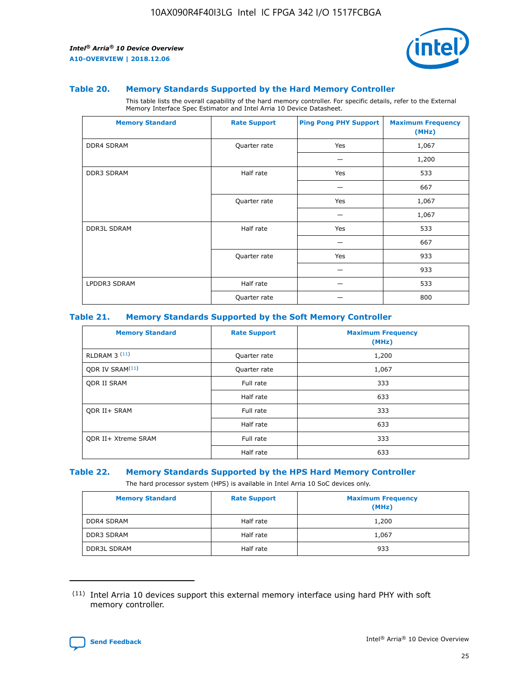

#### **Table 20. Memory Standards Supported by the Hard Memory Controller**

This table lists the overall capability of the hard memory controller. For specific details, refer to the External Memory Interface Spec Estimator and Intel Arria 10 Device Datasheet.

| <b>Memory Standard</b> | <b>Rate Support</b> | <b>Ping Pong PHY Support</b> | <b>Maximum Frequency</b><br>(MHz) |
|------------------------|---------------------|------------------------------|-----------------------------------|
| <b>DDR4 SDRAM</b>      | Quarter rate        | Yes                          | 1,067                             |
|                        |                     |                              | 1,200                             |
| <b>DDR3 SDRAM</b>      | Half rate           | Yes                          | 533                               |
|                        |                     |                              | 667                               |
|                        | Quarter rate        | Yes                          | 1,067                             |
|                        |                     |                              | 1,067                             |
| <b>DDR3L SDRAM</b>     | Half rate           | Yes                          | 533                               |
|                        |                     |                              | 667                               |
|                        | Quarter rate        | Yes                          | 933                               |
|                        |                     |                              | 933                               |
| LPDDR3 SDRAM           | Half rate           |                              | 533                               |
|                        | Quarter rate        |                              | 800                               |

#### **Table 21. Memory Standards Supported by the Soft Memory Controller**

| <b>Memory Standard</b>      | <b>Rate Support</b> | <b>Maximum Frequency</b><br>(MHz) |
|-----------------------------|---------------------|-----------------------------------|
| <b>RLDRAM 3 (11)</b>        | Quarter rate        | 1,200                             |
| ODR IV SRAM <sup>(11)</sup> | Quarter rate        | 1,067                             |
| <b>ODR II SRAM</b>          | Full rate           | 333                               |
|                             | Half rate           | 633                               |
| <b>ODR II+ SRAM</b>         | Full rate           | 333                               |
|                             | Half rate           | 633                               |
| <b>ODR II+ Xtreme SRAM</b>  | Full rate           | 333                               |
|                             | Half rate           | 633                               |

#### **Table 22. Memory Standards Supported by the HPS Hard Memory Controller**

The hard processor system (HPS) is available in Intel Arria 10 SoC devices only.

| <b>Memory Standard</b> | <b>Rate Support</b> | <b>Maximum Frequency</b><br>(MHz) |
|------------------------|---------------------|-----------------------------------|
| <b>DDR4 SDRAM</b>      | Half rate           | 1,200                             |
| <b>DDR3 SDRAM</b>      | Half rate           | 1,067                             |
| <b>DDR3L SDRAM</b>     | Half rate           | 933                               |

<sup>(11)</sup> Intel Arria 10 devices support this external memory interface using hard PHY with soft memory controller.

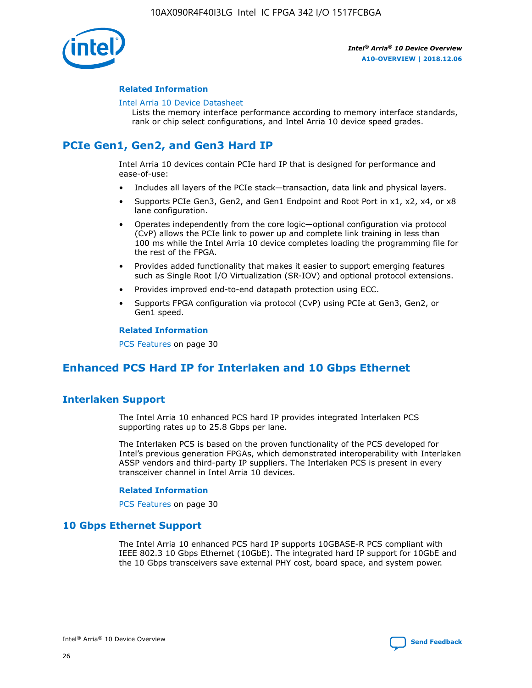

#### **Related Information**

#### [Intel Arria 10 Device Datasheet](https://www.intel.com/content/www/us/en/programmable/documentation/mcn1413182292568.html#mcn1413182153340)

Lists the memory interface performance according to memory interface standards, rank or chip select configurations, and Intel Arria 10 device speed grades.

# **PCIe Gen1, Gen2, and Gen3 Hard IP**

Intel Arria 10 devices contain PCIe hard IP that is designed for performance and ease-of-use:

- Includes all layers of the PCIe stack—transaction, data link and physical layers.
- Supports PCIe Gen3, Gen2, and Gen1 Endpoint and Root Port in x1, x2, x4, or x8 lane configuration.
- Operates independently from the core logic—optional configuration via protocol (CvP) allows the PCIe link to power up and complete link training in less than 100 ms while the Intel Arria 10 device completes loading the programming file for the rest of the FPGA.
- Provides added functionality that makes it easier to support emerging features such as Single Root I/O Virtualization (SR-IOV) and optional protocol extensions.
- Provides improved end-to-end datapath protection using ECC.
- Supports FPGA configuration via protocol (CvP) using PCIe at Gen3, Gen2, or Gen1 speed.

#### **Related Information**

PCS Features on page 30

# **Enhanced PCS Hard IP for Interlaken and 10 Gbps Ethernet**

# **Interlaken Support**

The Intel Arria 10 enhanced PCS hard IP provides integrated Interlaken PCS supporting rates up to 25.8 Gbps per lane.

The Interlaken PCS is based on the proven functionality of the PCS developed for Intel's previous generation FPGAs, which demonstrated interoperability with Interlaken ASSP vendors and third-party IP suppliers. The Interlaken PCS is present in every transceiver channel in Intel Arria 10 devices.

#### **Related Information**

PCS Features on page 30

# **10 Gbps Ethernet Support**

The Intel Arria 10 enhanced PCS hard IP supports 10GBASE-R PCS compliant with IEEE 802.3 10 Gbps Ethernet (10GbE). The integrated hard IP support for 10GbE and the 10 Gbps transceivers save external PHY cost, board space, and system power.

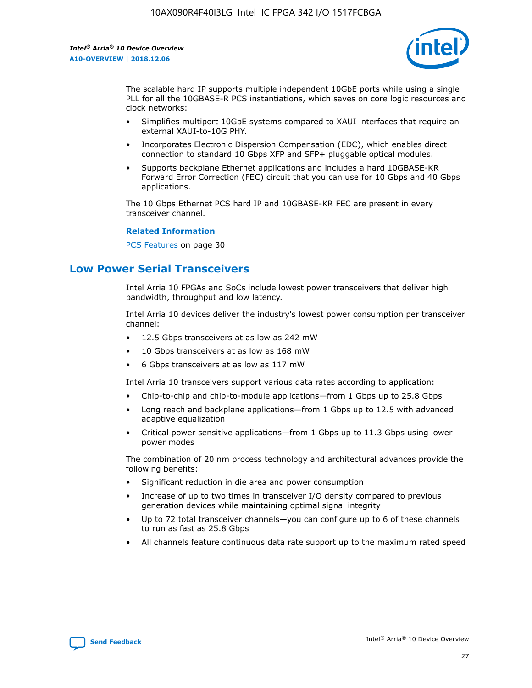

The scalable hard IP supports multiple independent 10GbE ports while using a single PLL for all the 10GBASE-R PCS instantiations, which saves on core logic resources and clock networks:

- Simplifies multiport 10GbE systems compared to XAUI interfaces that require an external XAUI-to-10G PHY.
- Incorporates Electronic Dispersion Compensation (EDC), which enables direct connection to standard 10 Gbps XFP and SFP+ pluggable optical modules.
- Supports backplane Ethernet applications and includes a hard 10GBASE-KR Forward Error Correction (FEC) circuit that you can use for 10 Gbps and 40 Gbps applications.

The 10 Gbps Ethernet PCS hard IP and 10GBASE-KR FEC are present in every transceiver channel.

#### **Related Information**

PCS Features on page 30

# **Low Power Serial Transceivers**

Intel Arria 10 FPGAs and SoCs include lowest power transceivers that deliver high bandwidth, throughput and low latency.

Intel Arria 10 devices deliver the industry's lowest power consumption per transceiver channel:

- 12.5 Gbps transceivers at as low as 242 mW
- 10 Gbps transceivers at as low as 168 mW
- 6 Gbps transceivers at as low as 117 mW

Intel Arria 10 transceivers support various data rates according to application:

- Chip-to-chip and chip-to-module applications—from 1 Gbps up to 25.8 Gbps
- Long reach and backplane applications—from 1 Gbps up to 12.5 with advanced adaptive equalization
- Critical power sensitive applications—from 1 Gbps up to 11.3 Gbps using lower power modes

The combination of 20 nm process technology and architectural advances provide the following benefits:

- Significant reduction in die area and power consumption
- Increase of up to two times in transceiver I/O density compared to previous generation devices while maintaining optimal signal integrity
- Up to 72 total transceiver channels—you can configure up to 6 of these channels to run as fast as 25.8 Gbps
- All channels feature continuous data rate support up to the maximum rated speed

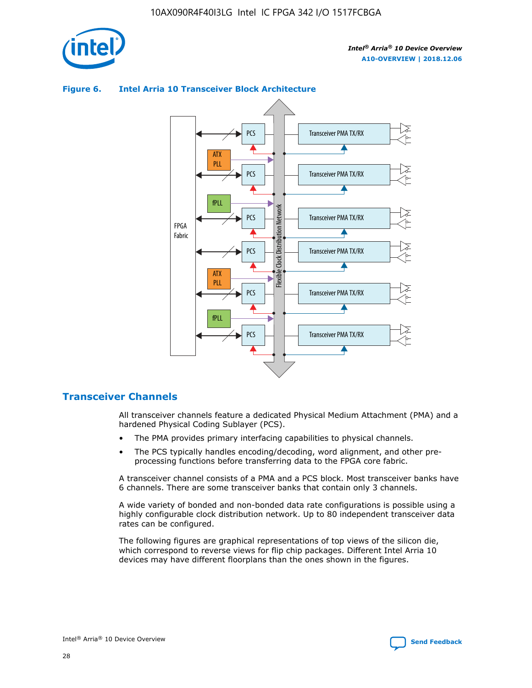

#### Transceiver PMA TX/RX PCS ATX PLL Transceiver PMA TX/RX PCS fPLL Network Flexible Clock Distribution Network PCS Transceiver PMA TX/RX FPGA **Clock Distribution** Fabric PCS Transceiver PMA TX/RX ATX Flexible PLL PCS Transceiver PMA TX/RX ▲ fPLL Transceiver PMA TX/RX PCS

## **Figure 6. Intel Arria 10 Transceiver Block Architecture**

# **Transceiver Channels**

All transceiver channels feature a dedicated Physical Medium Attachment (PMA) and a hardened Physical Coding Sublayer (PCS).

4

- The PMA provides primary interfacing capabilities to physical channels.
- The PCS typically handles encoding/decoding, word alignment, and other preprocessing functions before transferring data to the FPGA core fabric.

A transceiver channel consists of a PMA and a PCS block. Most transceiver banks have 6 channels. There are some transceiver banks that contain only 3 channels.

A wide variety of bonded and non-bonded data rate configurations is possible using a highly configurable clock distribution network. Up to 80 independent transceiver data rates can be configured.

The following figures are graphical representations of top views of the silicon die, which correspond to reverse views for flip chip packages. Different Intel Arria 10 devices may have different floorplans than the ones shown in the figures.

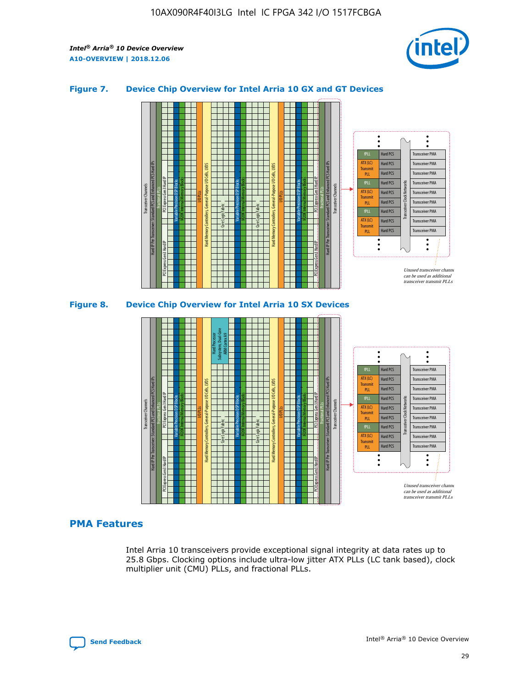

## **Figure 7. Device Chip Overview for Intel Arria 10 GX and GT Devices**



M20K Internal Memory Blocks Core Logic Fabric Transceiver Channels Hard IP Per Transceiver: Standard PCS and Enhanced PCS Hard IPs PCI Express Gen3 Hard IP Fractional PLLs M20K Internal Memory Blocks PCI Express Gen3 Hard IP Variable Precision DSP Blocks I/O PLLs Hard Memory Controllers, General-Purpose I/O Cells, LVDS Hard Processor Subsystem, Dual-Core ARM Cortex A9 M20K Internal Memory Blocks Variable Precision DSP Blocks M20K Internal Memory Blocks Core Logic Fabric I/O PLLs Hard Memory Controllers, General-Purpose I/O Cells, LVDS M20K Internal Memory Blocks Variable Precision DSP Blocks M20K Internal Memory Blocks Transceiver Channels Hard IP Per Transceiver: Standard PCS and Enhanced PCS Hard IPs PCI Express Gen3 Hard IP Fractional PLLs PCI Express Gen3 Hard IP  $\ddot{\cdot}$ Hard PCS Transceiver PMA fPLL ATX (LC) Hard PCS Transceiver PMA **Transmit** Hard PCS Transceiver PMA PLL fPLL Hard PCS Transceiver PMA Transceiver Clock Networks ATX (LC) Hard PCS Transceiver PMA Transmi Hard PCS Transceiver PMA PLL fPLL Hard PCS Transceiver PMA Transceiver PMA Hard PCS ATX (LC) **Transmit** Hard PCS Transceiver PMA PLL Unused transceiver chann can be used as additional transceiver transmit PLLs

# **PMA Features**

Intel Arria 10 transceivers provide exceptional signal integrity at data rates up to 25.8 Gbps. Clocking options include ultra-low jitter ATX PLLs (LC tank based), clock multiplier unit (CMU) PLLs, and fractional PLLs.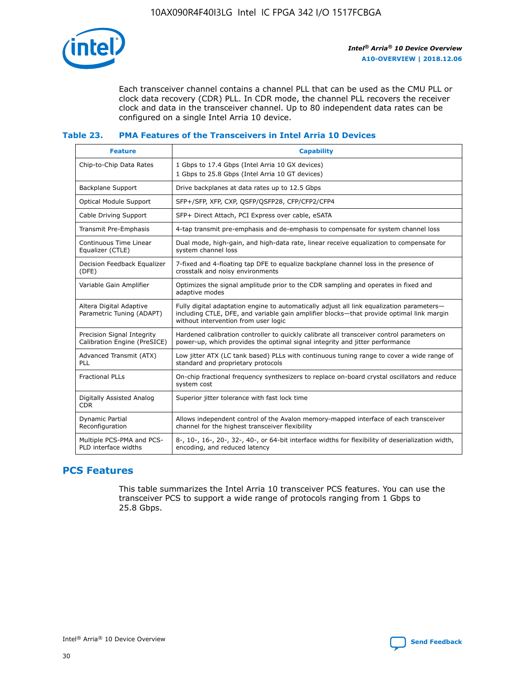

Each transceiver channel contains a channel PLL that can be used as the CMU PLL or clock data recovery (CDR) PLL. In CDR mode, the channel PLL recovers the receiver clock and data in the transceiver channel. Up to 80 independent data rates can be configured on a single Intel Arria 10 device.

# **Table 23. PMA Features of the Transceivers in Intel Arria 10 Devices**

| <b>Feature</b>                                             | <b>Capability</b>                                                                                                                                                                                                             |
|------------------------------------------------------------|-------------------------------------------------------------------------------------------------------------------------------------------------------------------------------------------------------------------------------|
| Chip-to-Chip Data Rates                                    | 1 Gbps to 17.4 Gbps (Intel Arria 10 GX devices)<br>1 Gbps to 25.8 Gbps (Intel Arria 10 GT devices)                                                                                                                            |
| Backplane Support                                          | Drive backplanes at data rates up to 12.5 Gbps                                                                                                                                                                                |
| <b>Optical Module Support</b>                              | SFP+/SFP, XFP, CXP, OSFP/OSFP28, CFP/CFP2/CFP4                                                                                                                                                                                |
| Cable Driving Support                                      | SFP+ Direct Attach, PCI Express over cable, eSATA                                                                                                                                                                             |
| Transmit Pre-Emphasis                                      | 4-tap transmit pre-emphasis and de-emphasis to compensate for system channel loss                                                                                                                                             |
| Continuous Time Linear<br>Equalizer (CTLE)                 | Dual mode, high-gain, and high-data rate, linear receive equalization to compensate for<br>system channel loss                                                                                                                |
| Decision Feedback Equalizer<br>(DFE)                       | 7-fixed and 4-floating tap DFE to equalize backplane channel loss in the presence of<br>crosstalk and noisy environments                                                                                                      |
| Variable Gain Amplifier                                    | Optimizes the signal amplitude prior to the CDR sampling and operates in fixed and<br>adaptive modes                                                                                                                          |
| Altera Digital Adaptive<br>Parametric Tuning (ADAPT)       | Fully digital adaptation engine to automatically adjust all link equalization parameters-<br>including CTLE, DFE, and variable gain amplifier blocks-that provide optimal link margin<br>without intervention from user logic |
| Precision Signal Integrity<br>Calibration Engine (PreSICE) | Hardened calibration controller to quickly calibrate all transceiver control parameters on<br>power-up, which provides the optimal signal integrity and jitter performance                                                    |
| Advanced Transmit (ATX)<br>PLL                             | Low jitter ATX (LC tank based) PLLs with continuous tuning range to cover a wide range of<br>standard and proprietary protocols                                                                                               |
| <b>Fractional PLLs</b>                                     | On-chip fractional frequency synthesizers to replace on-board crystal oscillators and reduce<br>system cost                                                                                                                   |
| Digitally Assisted Analog<br><b>CDR</b>                    | Superior jitter tolerance with fast lock time                                                                                                                                                                                 |
| <b>Dynamic Partial</b><br>Reconfiguration                  | Allows independent control of the Avalon memory-mapped interface of each transceiver<br>channel for the highest transceiver flexibility                                                                                       |
| Multiple PCS-PMA and PCS-<br>PLD interface widths          | 8-, 10-, 16-, 20-, 32-, 40-, or 64-bit interface widths for flexibility of deserialization width,<br>encoding, and reduced latency                                                                                            |

# **PCS Features**

This table summarizes the Intel Arria 10 transceiver PCS features. You can use the transceiver PCS to support a wide range of protocols ranging from 1 Gbps to 25.8 Gbps.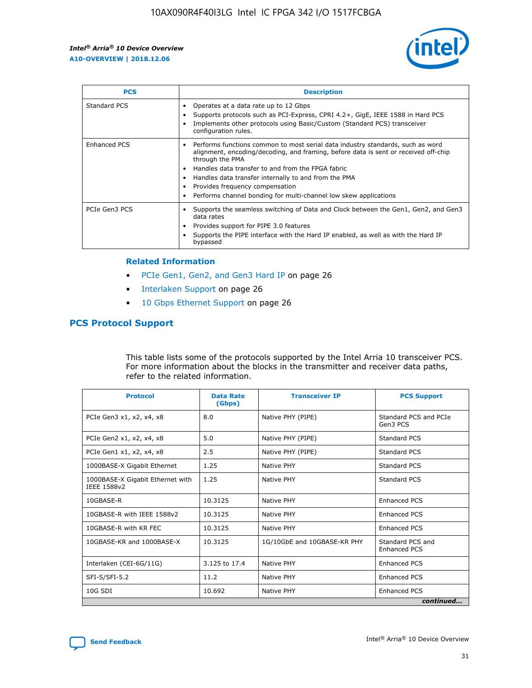

| <b>PCS</b>    | <b>Description</b>                                                                                                                                                                                                                                                                                                                                                                                             |
|---------------|----------------------------------------------------------------------------------------------------------------------------------------------------------------------------------------------------------------------------------------------------------------------------------------------------------------------------------------------------------------------------------------------------------------|
| Standard PCS  | Operates at a data rate up to 12 Gbps<br>Supports protocols such as PCI-Express, CPRI 4.2+, GigE, IEEE 1588 in Hard PCS<br>Implements other protocols using Basic/Custom (Standard PCS) transceiver<br>configuration rules.                                                                                                                                                                                    |
| Enhanced PCS  | Performs functions common to most serial data industry standards, such as word<br>alignment, encoding/decoding, and framing, before data is sent or received off-chip<br>through the PMA<br>• Handles data transfer to and from the FPGA fabric<br>Handles data transfer internally to and from the PMA<br>Provides frequency compensation<br>Performs channel bonding for multi-channel low skew applications |
| PCIe Gen3 PCS | Supports the seamless switching of Data and Clock between the Gen1, Gen2, and Gen3<br>data rates<br>Provides support for PIPE 3.0 features<br>Supports the PIPE interface with the Hard IP enabled, as well as with the Hard IP<br>bypassed                                                                                                                                                                    |

#### **Related Information**

- PCIe Gen1, Gen2, and Gen3 Hard IP on page 26
- Interlaken Support on page 26
- 10 Gbps Ethernet Support on page 26

# **PCS Protocol Support**

This table lists some of the protocols supported by the Intel Arria 10 transceiver PCS. For more information about the blocks in the transmitter and receiver data paths, refer to the related information.

| <b>Protocol</b>                                 | <b>Data Rate</b><br>(Gbps) | <b>Transceiver IP</b>       | <b>PCS Support</b>                      |
|-------------------------------------------------|----------------------------|-----------------------------|-----------------------------------------|
| PCIe Gen3 x1, x2, x4, x8                        | 8.0                        | Native PHY (PIPE)           | Standard PCS and PCIe<br>Gen3 PCS       |
| PCIe Gen2 x1, x2, x4, x8                        | 5.0                        | Native PHY (PIPE)           | <b>Standard PCS</b>                     |
| PCIe Gen1 x1, x2, x4, x8                        | 2.5                        | Native PHY (PIPE)           | Standard PCS                            |
| 1000BASE-X Gigabit Ethernet                     | 1.25                       | Native PHY                  | <b>Standard PCS</b>                     |
| 1000BASE-X Gigabit Ethernet with<br>IEEE 1588v2 | 1.25                       | Native PHY                  | Standard PCS                            |
| 10GBASE-R                                       | 10.3125                    | Native PHY                  | <b>Enhanced PCS</b>                     |
| 10GBASE-R with IEEE 1588v2                      | 10.3125                    | Native PHY                  | <b>Enhanced PCS</b>                     |
| 10GBASE-R with KR FEC                           | 10.3125                    | Native PHY                  | <b>Enhanced PCS</b>                     |
| 10GBASE-KR and 1000BASE-X                       | 10.3125                    | 1G/10GbE and 10GBASE-KR PHY | Standard PCS and<br><b>Enhanced PCS</b> |
| Interlaken (CEI-6G/11G)                         | 3.125 to 17.4              | Native PHY                  | <b>Enhanced PCS</b>                     |
| SFI-S/SFI-5.2                                   | 11.2                       | Native PHY                  | <b>Enhanced PCS</b>                     |
| $10G$ SDI                                       | 10.692                     | Native PHY                  | <b>Enhanced PCS</b>                     |
|                                                 |                            |                             | continued                               |

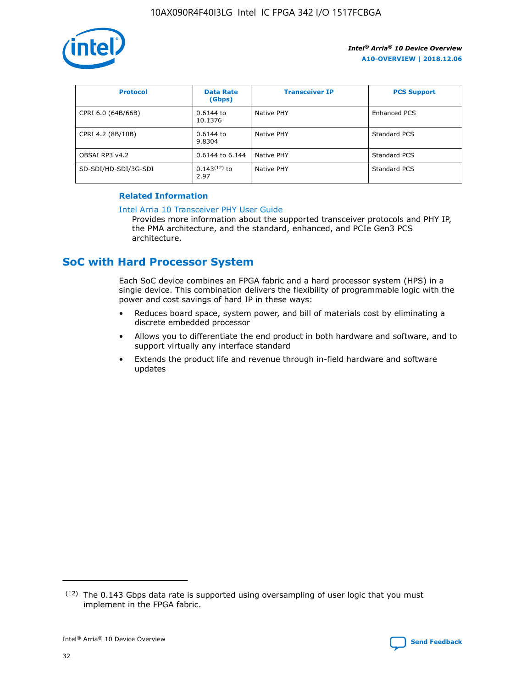

| <b>Protocol</b>      | <b>Data Rate</b><br>(Gbps) | <b>Transceiver IP</b> | <b>PCS Support</b> |
|----------------------|----------------------------|-----------------------|--------------------|
| CPRI 6.0 (64B/66B)   | 0.6144 to<br>10.1376       | Native PHY            | Enhanced PCS       |
| CPRI 4.2 (8B/10B)    | $0.6144$ to<br>9.8304      | Native PHY            | Standard PCS       |
| OBSAI RP3 v4.2       | 0.6144 to 6.144            | Native PHY            | Standard PCS       |
| SD-SDI/HD-SDI/3G-SDI | $0.143(12)$ to<br>2.97     | Native PHY            | Standard PCS       |

# **Related Information**

#### [Intel Arria 10 Transceiver PHY User Guide](https://www.intel.com/content/www/us/en/programmable/documentation/nik1398707230472.html#nik1398707091164)

Provides more information about the supported transceiver protocols and PHY IP, the PMA architecture, and the standard, enhanced, and PCIe Gen3 PCS architecture.

# **SoC with Hard Processor System**

Each SoC device combines an FPGA fabric and a hard processor system (HPS) in a single device. This combination delivers the flexibility of programmable logic with the power and cost savings of hard IP in these ways:

- Reduces board space, system power, and bill of materials cost by eliminating a discrete embedded processor
- Allows you to differentiate the end product in both hardware and software, and to support virtually any interface standard
- Extends the product life and revenue through in-field hardware and software updates

<sup>(12)</sup> The 0.143 Gbps data rate is supported using oversampling of user logic that you must implement in the FPGA fabric.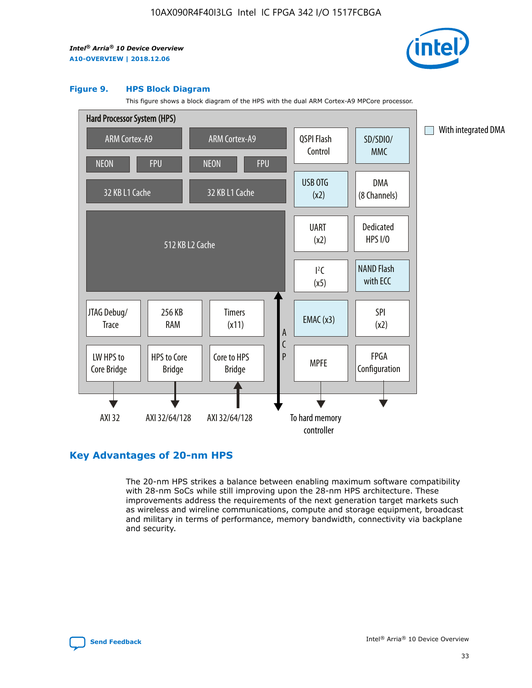

#### **Figure 9. HPS Block Diagram**

This figure shows a block diagram of the HPS with the dual ARM Cortex-A9 MPCore processor.



# **Key Advantages of 20-nm HPS**

The 20-nm HPS strikes a balance between enabling maximum software compatibility with 28-nm SoCs while still improving upon the 28-nm HPS architecture. These improvements address the requirements of the next generation target markets such as wireless and wireline communications, compute and storage equipment, broadcast and military in terms of performance, memory bandwidth, connectivity via backplane and security.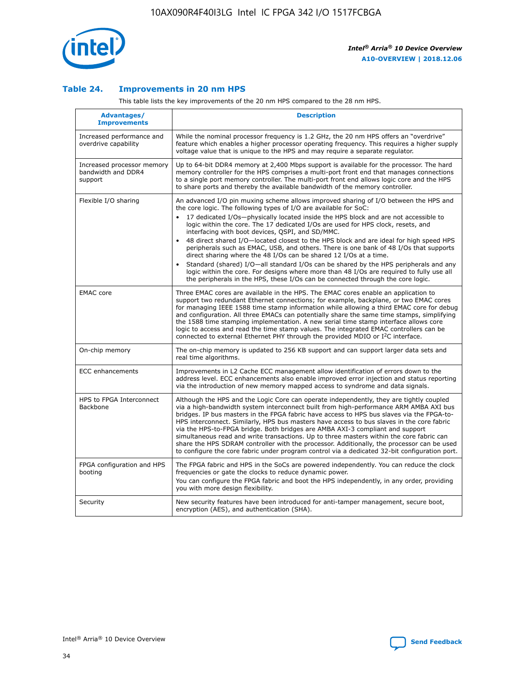

## **Table 24. Improvements in 20 nm HPS**

This table lists the key improvements of the 20 nm HPS compared to the 28 nm HPS.

| Advantages/<br><b>Improvements</b>                          | <b>Description</b>                                                                                                                                                                                                                                                                                                                                                                                                                                                                                                                                                                                                                                                                                                                                                                                                                                                                                                      |
|-------------------------------------------------------------|-------------------------------------------------------------------------------------------------------------------------------------------------------------------------------------------------------------------------------------------------------------------------------------------------------------------------------------------------------------------------------------------------------------------------------------------------------------------------------------------------------------------------------------------------------------------------------------------------------------------------------------------------------------------------------------------------------------------------------------------------------------------------------------------------------------------------------------------------------------------------------------------------------------------------|
| Increased performance and<br>overdrive capability           | While the nominal processor frequency is 1.2 GHz, the 20 nm HPS offers an "overdrive"<br>feature which enables a higher processor operating frequency. This requires a higher supply<br>voltage value that is unique to the HPS and may require a separate regulator.                                                                                                                                                                                                                                                                                                                                                                                                                                                                                                                                                                                                                                                   |
| Increased processor memory<br>bandwidth and DDR4<br>support | Up to 64-bit DDR4 memory at 2,400 Mbps support is available for the processor. The hard<br>memory controller for the HPS comprises a multi-port front end that manages connections<br>to a single port memory controller. The multi-port front end allows logic core and the HPS<br>to share ports and thereby the available bandwidth of the memory controller.                                                                                                                                                                                                                                                                                                                                                                                                                                                                                                                                                        |
| Flexible I/O sharing                                        | An advanced I/O pin muxing scheme allows improved sharing of I/O between the HPS and<br>the core logic. The following types of I/O are available for SoC:<br>17 dedicated I/Os-physically located inside the HPS block and are not accessible to<br>logic within the core. The 17 dedicated I/Os are used for HPS clock, resets, and<br>interfacing with boot devices, QSPI, and SD/MMC.<br>48 direct shared I/O-located closest to the HPS block and are ideal for high speed HPS<br>peripherals such as EMAC, USB, and others. There is one bank of 48 I/Os that supports<br>direct sharing where the 48 I/Os can be shared 12 I/Os at a time.<br>Standard (shared) I/O-all standard I/Os can be shared by the HPS peripherals and any<br>logic within the core. For designs where more than 48 I/Os are required to fully use all<br>the peripherals in the HPS, these I/Os can be connected through the core logic. |
| <b>EMAC</b> core                                            | Three EMAC cores are available in the HPS. The EMAC cores enable an application to<br>support two redundant Ethernet connections; for example, backplane, or two EMAC cores<br>for managing IEEE 1588 time stamp information while allowing a third EMAC core for debug<br>and configuration. All three EMACs can potentially share the same time stamps, simplifying<br>the 1588 time stamping implementation. A new serial time stamp interface allows core<br>logic to access and read the time stamp values. The integrated EMAC controllers can be<br>connected to external Ethernet PHY through the provided MDIO or I <sup>2</sup> C interface.                                                                                                                                                                                                                                                                  |
| On-chip memory                                              | The on-chip memory is updated to 256 KB support and can support larger data sets and<br>real time algorithms.                                                                                                                                                                                                                                                                                                                                                                                                                                                                                                                                                                                                                                                                                                                                                                                                           |
| <b>ECC</b> enhancements                                     | Improvements in L2 Cache ECC management allow identification of errors down to the<br>address level. ECC enhancements also enable improved error injection and status reporting<br>via the introduction of new memory mapped access to syndrome and data signals.                                                                                                                                                                                                                                                                                                                                                                                                                                                                                                                                                                                                                                                       |
| HPS to FPGA Interconnect<br>Backbone                        | Although the HPS and the Logic Core can operate independently, they are tightly coupled<br>via a high-bandwidth system interconnect built from high-performance ARM AMBA AXI bus<br>bridges. IP bus masters in the FPGA fabric have access to HPS bus slaves via the FPGA-to-<br>HPS interconnect. Similarly, HPS bus masters have access to bus slaves in the core fabric<br>via the HPS-to-FPGA bridge. Both bridges are AMBA AXI-3 compliant and support<br>simultaneous read and write transactions. Up to three masters within the core fabric can<br>share the HPS SDRAM controller with the processor. Additionally, the processor can be used<br>to configure the core fabric under program control via a dedicated 32-bit configuration port.                                                                                                                                                                  |
| FPGA configuration and HPS<br>booting                       | The FPGA fabric and HPS in the SoCs are powered independently. You can reduce the clock<br>frequencies or gate the clocks to reduce dynamic power.<br>You can configure the FPGA fabric and boot the HPS independently, in any order, providing<br>you with more design flexibility.                                                                                                                                                                                                                                                                                                                                                                                                                                                                                                                                                                                                                                    |
| Security                                                    | New security features have been introduced for anti-tamper management, secure boot,<br>encryption (AES), and authentication (SHA).                                                                                                                                                                                                                                                                                                                                                                                                                                                                                                                                                                                                                                                                                                                                                                                      |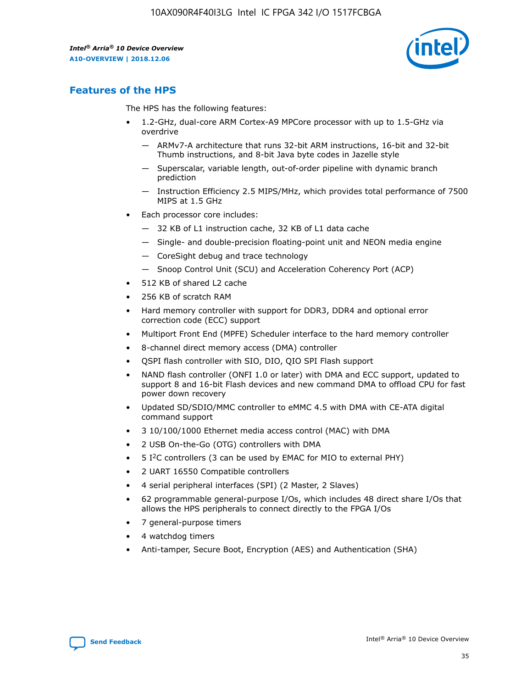

# **Features of the HPS**

The HPS has the following features:

- 1.2-GHz, dual-core ARM Cortex-A9 MPCore processor with up to 1.5-GHz via overdrive
	- ARMv7-A architecture that runs 32-bit ARM instructions, 16-bit and 32-bit Thumb instructions, and 8-bit Java byte codes in Jazelle style
	- Superscalar, variable length, out-of-order pipeline with dynamic branch prediction
	- Instruction Efficiency 2.5 MIPS/MHz, which provides total performance of 7500 MIPS at 1.5 GHz
- Each processor core includes:
	- 32 KB of L1 instruction cache, 32 KB of L1 data cache
	- Single- and double-precision floating-point unit and NEON media engine
	- CoreSight debug and trace technology
	- Snoop Control Unit (SCU) and Acceleration Coherency Port (ACP)
- 512 KB of shared L2 cache
- 256 KB of scratch RAM
- Hard memory controller with support for DDR3, DDR4 and optional error correction code (ECC) support
- Multiport Front End (MPFE) Scheduler interface to the hard memory controller
- 8-channel direct memory access (DMA) controller
- QSPI flash controller with SIO, DIO, QIO SPI Flash support
- NAND flash controller (ONFI 1.0 or later) with DMA and ECC support, updated to support 8 and 16-bit Flash devices and new command DMA to offload CPU for fast power down recovery
- Updated SD/SDIO/MMC controller to eMMC 4.5 with DMA with CE-ATA digital command support
- 3 10/100/1000 Ethernet media access control (MAC) with DMA
- 2 USB On-the-Go (OTG) controllers with DMA
- $\bullet$  5 I<sup>2</sup>C controllers (3 can be used by EMAC for MIO to external PHY)
- 2 UART 16550 Compatible controllers
- 4 serial peripheral interfaces (SPI) (2 Master, 2 Slaves)
- 62 programmable general-purpose I/Os, which includes 48 direct share I/Os that allows the HPS peripherals to connect directly to the FPGA I/Os
- 7 general-purpose timers
- 4 watchdog timers
- Anti-tamper, Secure Boot, Encryption (AES) and Authentication (SHA)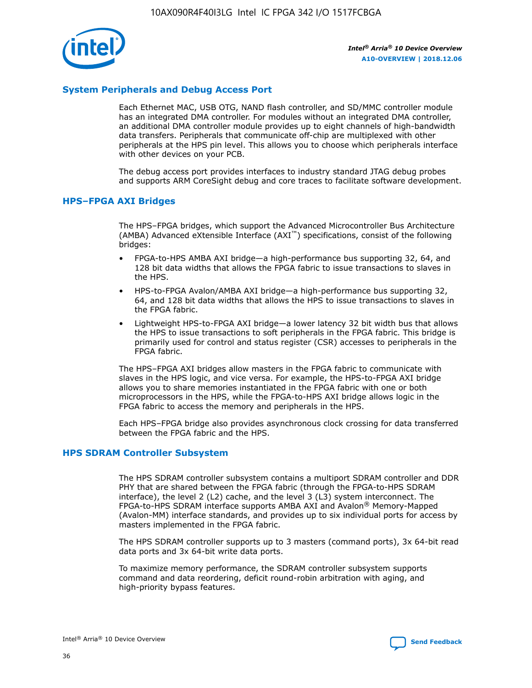

# **System Peripherals and Debug Access Port**

Each Ethernet MAC, USB OTG, NAND flash controller, and SD/MMC controller module has an integrated DMA controller. For modules without an integrated DMA controller, an additional DMA controller module provides up to eight channels of high-bandwidth data transfers. Peripherals that communicate off-chip are multiplexed with other peripherals at the HPS pin level. This allows you to choose which peripherals interface with other devices on your PCB.

The debug access port provides interfaces to industry standard JTAG debug probes and supports ARM CoreSight debug and core traces to facilitate software development.

## **HPS–FPGA AXI Bridges**

The HPS–FPGA bridges, which support the Advanced Microcontroller Bus Architecture (AMBA) Advanced eXtensible Interface (AXI™) specifications, consist of the following bridges:

- FPGA-to-HPS AMBA AXI bridge—a high-performance bus supporting 32, 64, and 128 bit data widths that allows the FPGA fabric to issue transactions to slaves in the HPS.
- HPS-to-FPGA Avalon/AMBA AXI bridge—a high-performance bus supporting 32, 64, and 128 bit data widths that allows the HPS to issue transactions to slaves in the FPGA fabric.
- Lightweight HPS-to-FPGA AXI bridge—a lower latency 32 bit width bus that allows the HPS to issue transactions to soft peripherals in the FPGA fabric. This bridge is primarily used for control and status register (CSR) accesses to peripherals in the FPGA fabric.

The HPS–FPGA AXI bridges allow masters in the FPGA fabric to communicate with slaves in the HPS logic, and vice versa. For example, the HPS-to-FPGA AXI bridge allows you to share memories instantiated in the FPGA fabric with one or both microprocessors in the HPS, while the FPGA-to-HPS AXI bridge allows logic in the FPGA fabric to access the memory and peripherals in the HPS.

Each HPS–FPGA bridge also provides asynchronous clock crossing for data transferred between the FPGA fabric and the HPS.

#### **HPS SDRAM Controller Subsystem**

The HPS SDRAM controller subsystem contains a multiport SDRAM controller and DDR PHY that are shared between the FPGA fabric (through the FPGA-to-HPS SDRAM interface), the level 2 (L2) cache, and the level 3 (L3) system interconnect. The FPGA-to-HPS SDRAM interface supports AMBA AXI and Avalon® Memory-Mapped (Avalon-MM) interface standards, and provides up to six individual ports for access by masters implemented in the FPGA fabric.

The HPS SDRAM controller supports up to 3 masters (command ports), 3x 64-bit read data ports and 3x 64-bit write data ports.

To maximize memory performance, the SDRAM controller subsystem supports command and data reordering, deficit round-robin arbitration with aging, and high-priority bypass features.

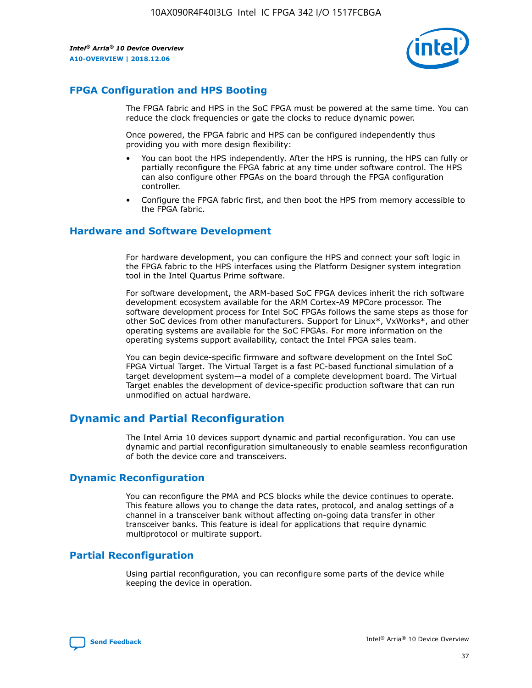

# **FPGA Configuration and HPS Booting**

The FPGA fabric and HPS in the SoC FPGA must be powered at the same time. You can reduce the clock frequencies or gate the clocks to reduce dynamic power.

Once powered, the FPGA fabric and HPS can be configured independently thus providing you with more design flexibility:

- You can boot the HPS independently. After the HPS is running, the HPS can fully or partially reconfigure the FPGA fabric at any time under software control. The HPS can also configure other FPGAs on the board through the FPGA configuration controller.
- Configure the FPGA fabric first, and then boot the HPS from memory accessible to the FPGA fabric.

## **Hardware and Software Development**

For hardware development, you can configure the HPS and connect your soft logic in the FPGA fabric to the HPS interfaces using the Platform Designer system integration tool in the Intel Quartus Prime software.

For software development, the ARM-based SoC FPGA devices inherit the rich software development ecosystem available for the ARM Cortex-A9 MPCore processor. The software development process for Intel SoC FPGAs follows the same steps as those for other SoC devices from other manufacturers. Support for Linux\*, VxWorks\*, and other operating systems are available for the SoC FPGAs. For more information on the operating systems support availability, contact the Intel FPGA sales team.

You can begin device-specific firmware and software development on the Intel SoC FPGA Virtual Target. The Virtual Target is a fast PC-based functional simulation of a target development system—a model of a complete development board. The Virtual Target enables the development of device-specific production software that can run unmodified on actual hardware.

# **Dynamic and Partial Reconfiguration**

The Intel Arria 10 devices support dynamic and partial reconfiguration. You can use dynamic and partial reconfiguration simultaneously to enable seamless reconfiguration of both the device core and transceivers.

# **Dynamic Reconfiguration**

You can reconfigure the PMA and PCS blocks while the device continues to operate. This feature allows you to change the data rates, protocol, and analog settings of a channel in a transceiver bank without affecting on-going data transfer in other transceiver banks. This feature is ideal for applications that require dynamic multiprotocol or multirate support.

# **Partial Reconfiguration**

Using partial reconfiguration, you can reconfigure some parts of the device while keeping the device in operation.

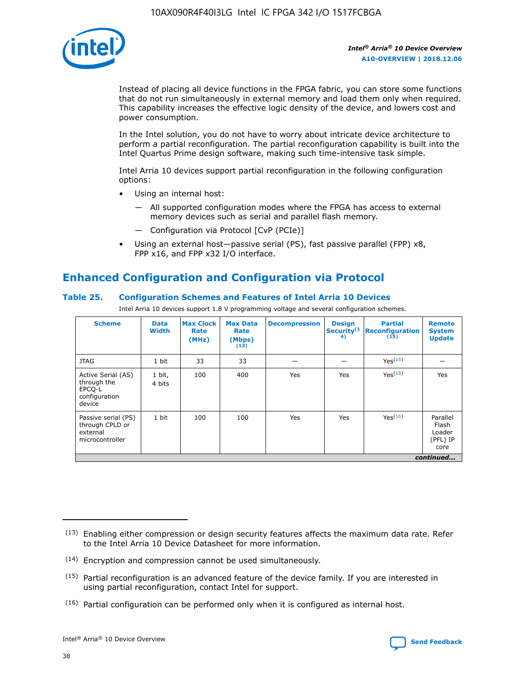

Instead of placing all device functions in the FPGA fabric, you can store some functions that do not run simultaneously in external memory and load them only when required. This capability increases the effective logic density of the device, and lowers cost and power consumption.

In the Intel solution, you do not have to worry about intricate device architecture to perform a partial reconfiguration. The partial reconfiguration capability is built into the Intel Quartus Prime design software, making such time-intensive task simple.

Intel Arria 10 devices support partial reconfiguration in the following configuration options:

- Using an internal host:
	- All supported configuration modes where the FPGA has access to external memory devices such as serial and parallel flash memory.
	- Configuration via Protocol [CvP (PCIe)]
- Using an external host—passive serial (PS), fast passive parallel (FPP) x8, FPP x16, and FPP x32 I/O interface.

# **Enhanced Configuration and Configuration via Protocol**

# **Table 25. Configuration Schemes and Features of Intel Arria 10 Devices**

Intel Arria 10 devices support 1.8 V programming voltage and several configuration schemes.

| <b>Scheme</b>                                                          | <b>Data</b><br><b>Width</b> | <b>Max Clock</b><br>Rate<br>(MHz) | <b>Max Data</b><br>Rate<br>(Mbps)<br>(13) | <b>Decompression</b> | <b>Design</b><br>Security <sup>(1</sup><br>4) | <b>Partial</b><br><b>Reconfiguration</b><br>(15) | <b>Remote</b><br><b>System</b><br><b>Update</b> |
|------------------------------------------------------------------------|-----------------------------|-----------------------------------|-------------------------------------------|----------------------|-----------------------------------------------|--------------------------------------------------|-------------------------------------------------|
| <b>JTAG</b>                                                            | 1 bit                       | 33                                | 33                                        |                      |                                               | Yes(16)                                          |                                                 |
| Active Serial (AS)<br>through the<br>EPCO-L<br>configuration<br>device | 1 bit,<br>4 bits            | 100                               | 400                                       | Yes                  | Yes                                           | $Y_{PS}(16)$                                     | Yes                                             |
| Passive serial (PS)<br>through CPLD or<br>external<br>microcontroller  | 1 bit                       | 100                               | 100                                       | Yes                  | Yes                                           | Yes(16)                                          | Parallel<br>Flash<br>Loader<br>(PFL) IP<br>core |
|                                                                        |                             |                                   |                                           |                      |                                               |                                                  | continued                                       |

<sup>(13)</sup> Enabling either compression or design security features affects the maximum data rate. Refer to the Intel Arria 10 Device Datasheet for more information.

<sup>(14)</sup> Encryption and compression cannot be used simultaneously.

 $(15)$  Partial reconfiguration is an advanced feature of the device family. If you are interested in using partial reconfiguration, contact Intel for support.

 $(16)$  Partial configuration can be performed only when it is configured as internal host.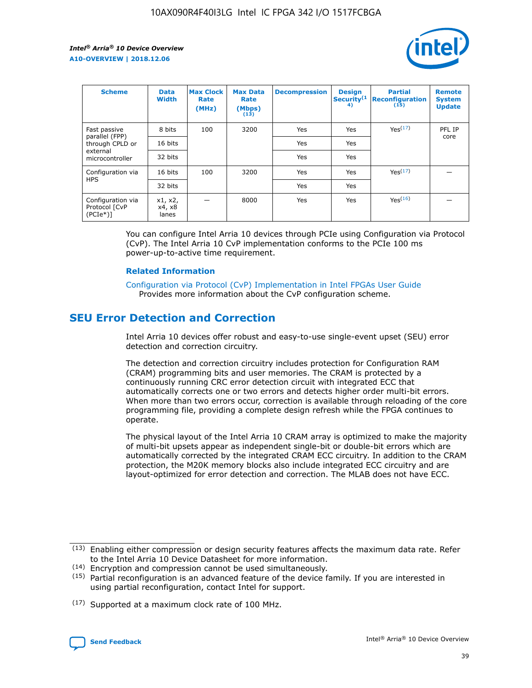

| <b>Scheme</b>                                   | <b>Data</b><br><b>Width</b> | <b>Max Clock</b><br>Rate<br>(MHz) | <b>Max Data</b><br>Rate<br>(Mbps)<br>(13) | <b>Decompression</b> | <b>Design</b><br>Security <sup>(1</sup><br>4) | <b>Partial</b><br><b>Reconfiguration</b><br>(15) | <b>Remote</b><br><b>System</b><br><b>Update</b> |
|-------------------------------------------------|-----------------------------|-----------------------------------|-------------------------------------------|----------------------|-----------------------------------------------|--------------------------------------------------|-------------------------------------------------|
| Fast passive                                    | 8 bits                      | 100                               | 3200                                      | Yes                  | Yes                                           | Yes(17)                                          | PFL IP                                          |
| parallel (FPP)<br>through CPLD or               | 16 bits                     |                                   |                                           | Yes                  | Yes                                           |                                                  | core                                            |
| external<br>microcontroller                     | 32 bits                     |                                   |                                           | Yes                  | Yes                                           |                                                  |                                                 |
| Configuration via                               | 16 bits                     | 100                               | 3200                                      | Yes                  | Yes                                           | Yes <sup>(17)</sup>                              |                                                 |
| <b>HPS</b>                                      | 32 bits                     |                                   |                                           | Yes                  | Yes                                           |                                                  |                                                 |
| Configuration via<br>Protocol [CvP<br>$(PCIe*)$ | x1, x2,<br>x4, x8<br>lanes  |                                   | 8000                                      | Yes                  | Yes                                           | Yes <sup>(16)</sup>                              |                                                 |

You can configure Intel Arria 10 devices through PCIe using Configuration via Protocol (CvP). The Intel Arria 10 CvP implementation conforms to the PCIe 100 ms power-up-to-active time requirement.

#### **Related Information**

[Configuration via Protocol \(CvP\) Implementation in Intel FPGAs User Guide](https://www.intel.com/content/www/us/en/programmable/documentation/dsu1441819344145.html#dsu1442269728522) Provides more information about the CvP configuration scheme.

# **SEU Error Detection and Correction**

Intel Arria 10 devices offer robust and easy-to-use single-event upset (SEU) error detection and correction circuitry.

The detection and correction circuitry includes protection for Configuration RAM (CRAM) programming bits and user memories. The CRAM is protected by a continuously running CRC error detection circuit with integrated ECC that automatically corrects one or two errors and detects higher order multi-bit errors. When more than two errors occur, correction is available through reloading of the core programming file, providing a complete design refresh while the FPGA continues to operate.

The physical layout of the Intel Arria 10 CRAM array is optimized to make the majority of multi-bit upsets appear as independent single-bit or double-bit errors which are automatically corrected by the integrated CRAM ECC circuitry. In addition to the CRAM protection, the M20K memory blocks also include integrated ECC circuitry and are layout-optimized for error detection and correction. The MLAB does not have ECC.

<sup>(17)</sup> Supported at a maximum clock rate of 100 MHz.



 $(13)$  Enabling either compression or design security features affects the maximum data rate. Refer to the Intel Arria 10 Device Datasheet for more information.

<sup>(14)</sup> Encryption and compression cannot be used simultaneously.

 $(15)$  Partial reconfiguration is an advanced feature of the device family. If you are interested in using partial reconfiguration, contact Intel for support.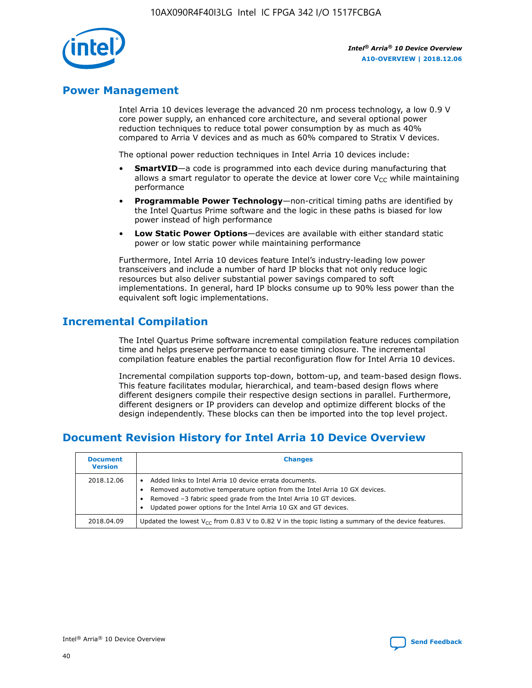

# **Power Management**

Intel Arria 10 devices leverage the advanced 20 nm process technology, a low 0.9 V core power supply, an enhanced core architecture, and several optional power reduction techniques to reduce total power consumption by as much as 40% compared to Arria V devices and as much as 60% compared to Stratix V devices.

The optional power reduction techniques in Intel Arria 10 devices include:

- **SmartVID**—a code is programmed into each device during manufacturing that allows a smart regulator to operate the device at lower core  $V_{CC}$  while maintaining performance
- **Programmable Power Technology**—non-critical timing paths are identified by the Intel Quartus Prime software and the logic in these paths is biased for low power instead of high performance
- **Low Static Power Options**—devices are available with either standard static power or low static power while maintaining performance

Furthermore, Intel Arria 10 devices feature Intel's industry-leading low power transceivers and include a number of hard IP blocks that not only reduce logic resources but also deliver substantial power savings compared to soft implementations. In general, hard IP blocks consume up to 90% less power than the equivalent soft logic implementations.

# **Incremental Compilation**

The Intel Quartus Prime software incremental compilation feature reduces compilation time and helps preserve performance to ease timing closure. The incremental compilation feature enables the partial reconfiguration flow for Intel Arria 10 devices.

Incremental compilation supports top-down, bottom-up, and team-based design flows. This feature facilitates modular, hierarchical, and team-based design flows where different designers compile their respective design sections in parallel. Furthermore, different designers or IP providers can develop and optimize different blocks of the design independently. These blocks can then be imported into the top level project.

# **Document Revision History for Intel Arria 10 Device Overview**

| <b>Document</b><br><b>Version</b> | <b>Changes</b>                                                                                                                                                                                                                                                              |
|-----------------------------------|-----------------------------------------------------------------------------------------------------------------------------------------------------------------------------------------------------------------------------------------------------------------------------|
| 2018.12.06                        | Added links to Intel Arria 10 device errata documents.<br>Removed automotive temperature option from the Intel Arria 10 GX devices.<br>Removed -3 fabric speed grade from the Intel Arria 10 GT devices.<br>Updated power options for the Intel Arria 10 GX and GT devices. |
| 2018.04.09                        | Updated the lowest $V_{CC}$ from 0.83 V to 0.82 V in the topic listing a summary of the device features.                                                                                                                                                                    |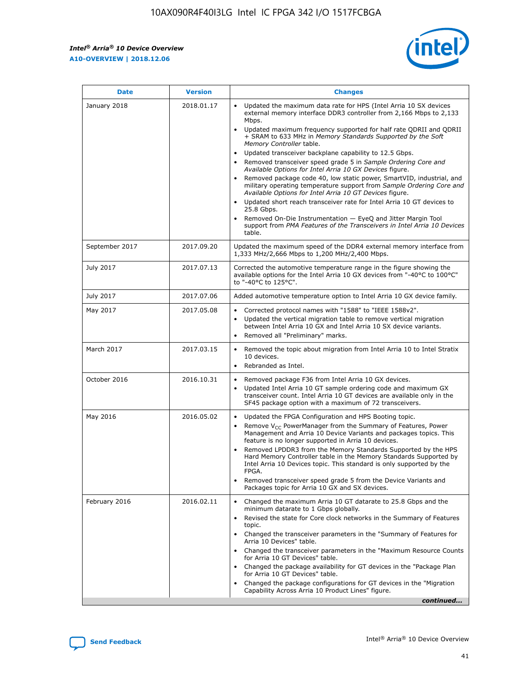*Intel® Arria® 10 Device Overview* **A10-OVERVIEW | 2018.12.06**



| <b>Date</b>    | <b>Version</b> | <b>Changes</b>                                                                                                                                                                                                                                                                                                                                                                                                                                                                                                                                                                                                                                                                                                                                                                                                                                                                                                                                                            |
|----------------|----------------|---------------------------------------------------------------------------------------------------------------------------------------------------------------------------------------------------------------------------------------------------------------------------------------------------------------------------------------------------------------------------------------------------------------------------------------------------------------------------------------------------------------------------------------------------------------------------------------------------------------------------------------------------------------------------------------------------------------------------------------------------------------------------------------------------------------------------------------------------------------------------------------------------------------------------------------------------------------------------|
| January 2018   | 2018.01.17     | Updated the maximum data rate for HPS (Intel Arria 10 SX devices<br>external memory interface DDR3 controller from 2,166 Mbps to 2,133<br>Mbps.<br>Updated maximum frequency supported for half rate QDRII and QDRII<br>+ SRAM to 633 MHz in Memory Standards Supported by the Soft<br>Memory Controller table.<br>Updated transceiver backplane capability to 12.5 Gbps.<br>$\bullet$<br>Removed transceiver speed grade 5 in Sample Ordering Core and<br>Available Options for Intel Arria 10 GX Devices figure.<br>Removed package code 40, low static power, SmartVID, industrial, and<br>military operating temperature support from Sample Ordering Core and<br>Available Options for Intel Arria 10 GT Devices figure.<br>Updated short reach transceiver rate for Intel Arria 10 GT devices to<br>25.8 Gbps.<br>Removed On-Die Instrumentation - EyeQ and Jitter Margin Tool<br>support from PMA Features of the Transceivers in Intel Arria 10 Devices<br>table. |
| September 2017 | 2017.09.20     | Updated the maximum speed of the DDR4 external memory interface from<br>1,333 MHz/2,666 Mbps to 1,200 MHz/2,400 Mbps.                                                                                                                                                                                                                                                                                                                                                                                                                                                                                                                                                                                                                                                                                                                                                                                                                                                     |
| July 2017      | 2017.07.13     | Corrected the automotive temperature range in the figure showing the<br>available options for the Intel Arria 10 GX devices from "-40°C to 100°C"<br>to "-40°C to 125°C".                                                                                                                                                                                                                                                                                                                                                                                                                                                                                                                                                                                                                                                                                                                                                                                                 |
| July 2017      | 2017.07.06     | Added automotive temperature option to Intel Arria 10 GX device family.                                                                                                                                                                                                                                                                                                                                                                                                                                                                                                                                                                                                                                                                                                                                                                                                                                                                                                   |
| May 2017       | 2017.05.08     | Corrected protocol names with "1588" to "IEEE 1588v2".<br>$\bullet$<br>Updated the vertical migration table to remove vertical migration<br>$\bullet$<br>between Intel Arria 10 GX and Intel Arria 10 SX device variants.<br>Removed all "Preliminary" marks.<br>$\bullet$                                                                                                                                                                                                                                                                                                                                                                                                                                                                                                                                                                                                                                                                                                |
| March 2017     | 2017.03.15     | Removed the topic about migration from Intel Arria 10 to Intel Stratix<br>10 devices.<br>Rebranded as Intel.<br>$\bullet$                                                                                                                                                                                                                                                                                                                                                                                                                                                                                                                                                                                                                                                                                                                                                                                                                                                 |
| October 2016   | 2016.10.31     | Removed package F36 from Intel Arria 10 GX devices.<br>Updated Intel Arria 10 GT sample ordering code and maximum GX<br>$\bullet$<br>transceiver count. Intel Arria 10 GT devices are available only in the<br>SF45 package option with a maximum of 72 transceivers.                                                                                                                                                                                                                                                                                                                                                                                                                                                                                                                                                                                                                                                                                                     |
| May 2016       | 2016.05.02     | Updated the FPGA Configuration and HPS Booting topic.<br>$\bullet$<br>Remove V <sub>CC</sub> PowerManager from the Summary of Features, Power<br>Management and Arria 10 Device Variants and packages topics. This<br>feature is no longer supported in Arria 10 devices.<br>Removed LPDDR3 from the Memory Standards Supported by the HPS<br>Hard Memory Controller table in the Memory Standards Supported by<br>Intel Arria 10 Devices topic. This standard is only supported by the<br>FPGA.<br>Removed transceiver speed grade 5 from the Device Variants and<br>Packages topic for Arria 10 GX and SX devices.                                                                                                                                                                                                                                                                                                                                                      |
| February 2016  | 2016.02.11     | Changed the maximum Arria 10 GT datarate to 25.8 Gbps and the<br>minimum datarate to 1 Gbps globally.<br>Revised the state for Core clock networks in the Summary of Features<br>$\bullet$<br>topic.<br>Changed the transceiver parameters in the "Summary of Features for<br>$\bullet$<br>Arria 10 Devices" table.<br>• Changed the transceiver parameters in the "Maximum Resource Counts<br>for Arria 10 GT Devices" table.<br>Changed the package availability for GT devices in the "Package Plan<br>for Arria 10 GT Devices" table.<br>Changed the package configurations for GT devices in the "Migration"<br>Capability Across Arria 10 Product Lines" figure.<br>continued                                                                                                                                                                                                                                                                                       |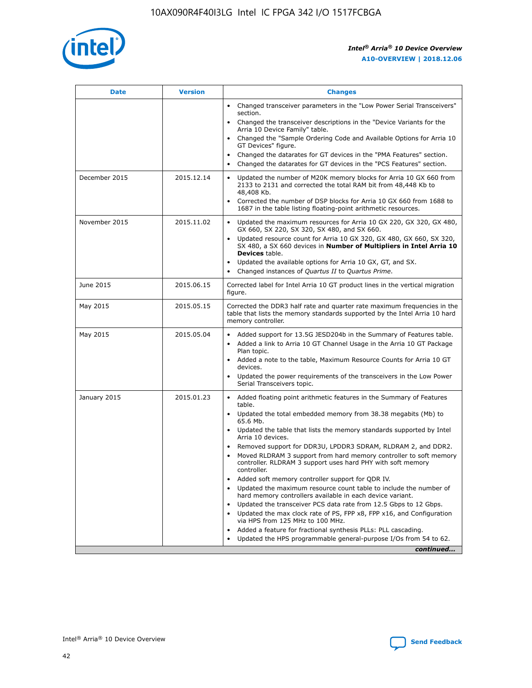

| <b>Date</b>   | <b>Version</b> | <b>Changes</b>                                                                                                                                                               |
|---------------|----------------|------------------------------------------------------------------------------------------------------------------------------------------------------------------------------|
|               |                | • Changed transceiver parameters in the "Low Power Serial Transceivers"<br>section.                                                                                          |
|               |                | • Changed the transceiver descriptions in the "Device Variants for the<br>Arria 10 Device Family" table.                                                                     |
|               |                | Changed the "Sample Ordering Code and Available Options for Arria 10<br>$\bullet$<br>GT Devices" figure.                                                                     |
|               |                | Changed the datarates for GT devices in the "PMA Features" section.                                                                                                          |
|               |                | Changed the datarates for GT devices in the "PCS Features" section.<br>$\bullet$                                                                                             |
| December 2015 | 2015.12.14     | Updated the number of M20K memory blocks for Arria 10 GX 660 from<br>2133 to 2131 and corrected the total RAM bit from 48,448 Kb to<br>48,408 Kb.                            |
|               |                | Corrected the number of DSP blocks for Arria 10 GX 660 from 1688 to<br>1687 in the table listing floating-point arithmetic resources.                                        |
| November 2015 | 2015.11.02     | Updated the maximum resources for Arria 10 GX 220, GX 320, GX 480,<br>$\bullet$<br>GX 660, SX 220, SX 320, SX 480, and SX 660.                                               |
|               |                | • Updated resource count for Arria 10 GX 320, GX 480, GX 660, SX 320,<br>SX 480, a SX 660 devices in Number of Multipliers in Intel Arria 10<br><b>Devices</b> table.        |
|               |                | Updated the available options for Arria 10 GX, GT, and SX.                                                                                                                   |
|               |                | Changed instances of Quartus II to Quartus Prime.<br>$\bullet$                                                                                                               |
| June 2015     | 2015.06.15     | Corrected label for Intel Arria 10 GT product lines in the vertical migration<br>figure.                                                                                     |
| May 2015      | 2015.05.15     | Corrected the DDR3 half rate and quarter rate maximum frequencies in the<br>table that lists the memory standards supported by the Intel Arria 10 hard<br>memory controller. |
| May 2015      | 2015.05.04     | • Added support for 13.5G JESD204b in the Summary of Features table.<br>• Added a link to Arria 10 GT Channel Usage in the Arria 10 GT Package<br>Plan topic.                |
|               |                | • Added a note to the table, Maximum Resource Counts for Arria 10 GT<br>devices.                                                                                             |
|               |                | • Updated the power requirements of the transceivers in the Low Power<br>Serial Transceivers topic.                                                                          |
| January 2015  | 2015.01.23     | • Added floating point arithmetic features in the Summary of Features<br>table.                                                                                              |
|               |                | • Updated the total embedded memory from 38.38 megabits (Mb) to<br>65.6 Mb.                                                                                                  |
|               |                | • Updated the table that lists the memory standards supported by Intel<br>Arria 10 devices.                                                                                  |
|               |                | Removed support for DDR3U, LPDDR3 SDRAM, RLDRAM 2, and DDR2.                                                                                                                 |
|               |                | Moved RLDRAM 3 support from hard memory controller to soft memory<br>controller. RLDRAM 3 support uses hard PHY with soft memory<br>controller.                              |
|               |                | Added soft memory controller support for QDR IV.<br>٠                                                                                                                        |
|               |                | Updated the maximum resource count table to include the number of<br>hard memory controllers available in each device variant.                                               |
|               |                | Updated the transceiver PCS data rate from 12.5 Gbps to 12 Gbps.<br>$\bullet$                                                                                                |
|               |                | Updated the max clock rate of PS, FPP x8, FPP x16, and Configuration<br>via HPS from 125 MHz to 100 MHz.                                                                     |
|               |                | Added a feature for fractional synthesis PLLs: PLL cascading.                                                                                                                |
|               |                | Updated the HPS programmable general-purpose I/Os from 54 to 62.<br>$\bullet$<br>continued                                                                                   |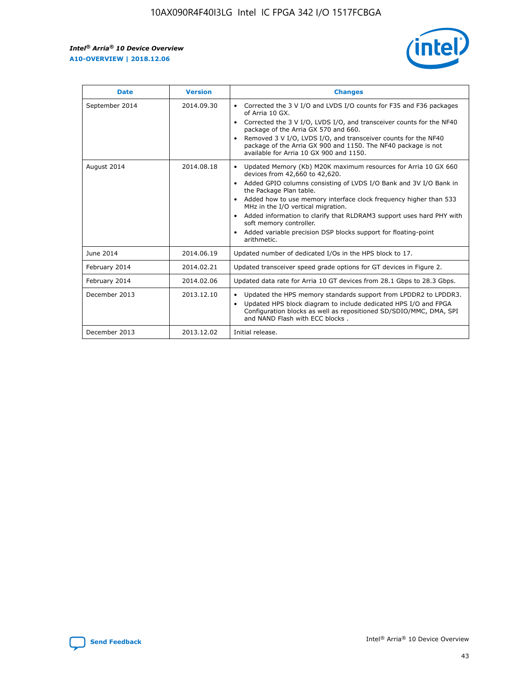r



| <b>Date</b>    | <b>Version</b> | <b>Changes</b>                                                                                                                                                                                                                                                                                                                                                                                                                                                                                                                                      |
|----------------|----------------|-----------------------------------------------------------------------------------------------------------------------------------------------------------------------------------------------------------------------------------------------------------------------------------------------------------------------------------------------------------------------------------------------------------------------------------------------------------------------------------------------------------------------------------------------------|
| September 2014 | 2014.09.30     | Corrected the 3 V I/O and LVDS I/O counts for F35 and F36 packages<br>$\bullet$<br>of Arria 10 GX.<br>Corrected the 3 V I/O, LVDS I/O, and transceiver counts for the NF40<br>$\bullet$<br>package of the Arria GX 570 and 660.<br>Removed 3 V I/O, LVDS I/O, and transceiver counts for the NF40<br>package of the Arria GX 900 and 1150. The NF40 package is not<br>available for Arria 10 GX 900 and 1150.                                                                                                                                       |
| August 2014    | 2014.08.18     | Updated Memory (Kb) M20K maximum resources for Arria 10 GX 660<br>devices from 42,660 to 42,620.<br>Added GPIO columns consisting of LVDS I/O Bank and 3V I/O Bank in<br>$\bullet$<br>the Package Plan table.<br>Added how to use memory interface clock frequency higher than 533<br>$\bullet$<br>MHz in the I/O vertical migration.<br>Added information to clarify that RLDRAM3 support uses hard PHY with<br>$\bullet$<br>soft memory controller.<br>Added variable precision DSP blocks support for floating-point<br>$\bullet$<br>arithmetic. |
| June 2014      | 2014.06.19     | Updated number of dedicated I/Os in the HPS block to 17.                                                                                                                                                                                                                                                                                                                                                                                                                                                                                            |
| February 2014  | 2014.02.21     | Updated transceiver speed grade options for GT devices in Figure 2.                                                                                                                                                                                                                                                                                                                                                                                                                                                                                 |
| February 2014  | 2014.02.06     | Updated data rate for Arria 10 GT devices from 28.1 Gbps to 28.3 Gbps.                                                                                                                                                                                                                                                                                                                                                                                                                                                                              |
| December 2013  | 2013.12.10     | Updated the HPS memory standards support from LPDDR2 to LPDDR3.<br>Updated HPS block diagram to include dedicated HPS I/O and FPGA<br>$\bullet$<br>Configuration blocks as well as repositioned SD/SDIO/MMC, DMA, SPI<br>and NAND Flash with ECC blocks.                                                                                                                                                                                                                                                                                            |
| December 2013  | 2013.12.02     | Initial release.                                                                                                                                                                                                                                                                                                                                                                                                                                                                                                                                    |